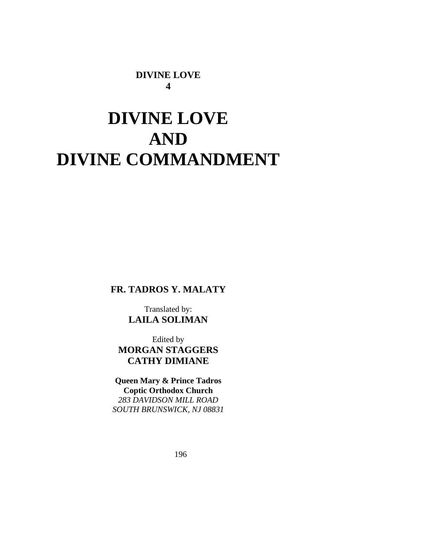## **DIVINE LOVE 4**

# **DIVINE LOVE AND DIVINE COMMANDMENT**

**FR. TADROS Y. MALATY** 

Translated by: **LAILA SOLIMAN** 

Edited by **MORGAN STAGGERS CATHY DIMIANE** 

**Queen Mary & Prince Tadros Coptic Orthodox Church**  *283 DAVIDSON MILL ROAD SOUTH BRUNSWICK, NJ 08831*

196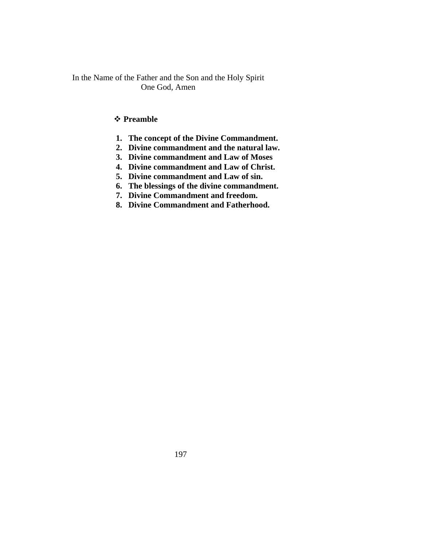In the Name of the Father and the Son and the Holy Spirit One God, Amen

## **Preamble**

- **1. The concept of the Divine Commandment.**
- **2. Divine commandment and the natural law.**
- **3. Divine commandment and Law of Moses**
- **4. Divine commandment and Law of Christ.**
- **5. Divine commandment and Law of sin.**
- **6. The blessings of the divine commandment.**
- **7. Divine Commandment and freedom.**
- **8. Divine Commandment and Fatherhood.**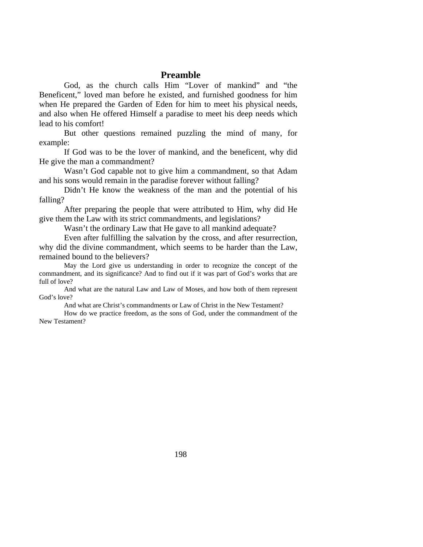### **Preamble**

God, as the church calls Him "Lover of mankind" and "the Beneficent," loved man before he existed, and furnished goodness for him when He prepared the Garden of Eden for him to meet his physical needs, and also when He offered Himself a paradise to meet his deep needs which lead to his comfort!

But other questions remained puzzling the mind of many, for example:

If God was to be the lover of mankind, and the beneficent, why did He give the man a commandment?

Wasn't God capable not to give him a commandment, so that Adam and his sons would remain in the paradise forever without falling?

Didn't He know the weakness of the man and the potential of his falling?

After preparing the people that were attributed to Him, why did He give them the Law with its strict commandments, and legislations?

Wasn't the ordinary Law that He gave to all mankind adequate?

Even after fulfilling the salvation by the cross, and after resurrection, why did the divine commandment, which seems to be harder than the Law, remained bound to the believers?

May the Lord give us understanding in order to recognize the concept of the commandment, and its significance? And to find out if it was part of God's works that are full of love?

And what are the natural Law and Law of Moses, and how both of them represent God's love?

And what are Christ's commandments or Law of Christ in the New Testament?

How do we practice freedom, as the sons of God, under the commandment of the New Testament?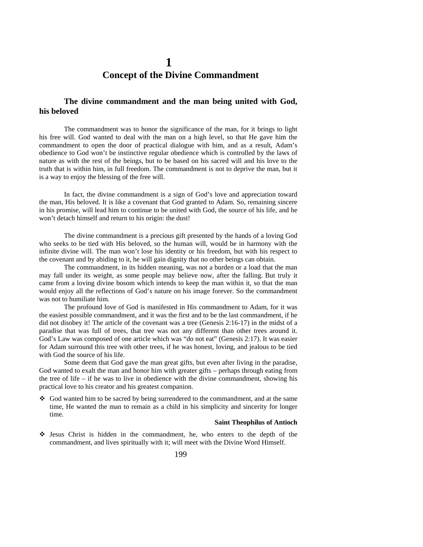## **1 Concept of the Divine Commandment**

### **The divine commandment and the man being united with God, his beloved**

The commandment was to honor the significance of the man, for it brings to light his free will. God wanted to deal with the man on a high level, so that He gave him the commandment to open the door of practical dialogue with him, and as a result, Adam's obedience to God won't be instinctive regular obedience which is controlled by the laws of nature as with the rest of the beings, but to be based on his sacred will and his love to the truth that is within him, in full freedom. The commandment is not to deprive the man, but it is a way to enjoy the blessing of the free will.

In fact, the divine commandment is a sign of God's love and appreciation toward the man, His beloved. It is like a covenant that God granted to Adam. So, remaining sincere in his promise, will lead him to continue to be united with God, the source of his life, and he won't detach himself and return to his origin: the dust!

The divine commandment is a precious gift presented by the hands of a loving God who seeks to be tied with His beloved, so the human will, would be in harmony with the infinite divine will. The man won't lose his identity or his freedom, but with his respect to the covenant and by abiding to it, he will gain dignity that no other beings can obtain.

The commandment, in its hidden meaning, was not a burden or a load that the man may fall under its weight, as some people may believe now, after the falling. But truly it came from a loving divine bosom which intends to keep the man within it, so that the man would enjoy all the reflections of God's nature on his image forever. So the commandment was not to humiliate him.

The profound love of God is manifested in His commandment to Adam, for it was the easiest possible commandment, and it was the first and to be the last commandment, if he did not disobey it! The article of the covenant was a tree (Genesis 2:16-17) in the midst of a paradise that was full of trees, that tree was not any different than other trees around it. God's Law was composed of one article which was "do not eat" (Genesis 2:17). It was easier for Adam surround this tree with other trees, if he was honest, loving, and jealous to be tied with God the source of his life.

Some deem that God gave the man great gifts, but even after living in the paradise, God wanted to exalt the man and honor him with greater gifts – perhaps through eating from the tree of life – if he was to live in obedience with the divine commandment, showing his practical love to his creator and his greatest companion.

 God wanted him to be sacred by being surrendered to the commandment, and at the same time, He wanted the man to remain as a child in his simplicity and sincerity for longer time.

#### **Saint Theophilus of Antioch**

 Jesus Christ is hidden in the commandment, he, who enters to the depth of the commandment, and lives spiritually with it; will meet with the Divine Word Himself.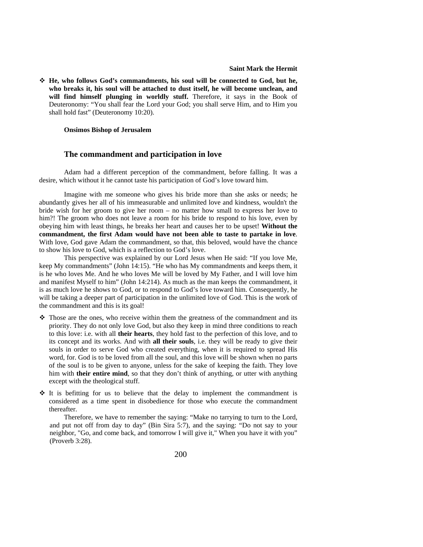**He, who follows God's commandments, his soul will be connected to God, but he, who breaks it, his soul will be attached to dust itself, he will become unclean, and**  will find himself plunging in worldly stuff. Therefore, it says in the Book of Deuteronomy: "You shall fear the Lord your God; you shall serve Him, and to Him you shall hold fast" (Deuteronomy 10:20).

#### **Onsimos Bishop of Jerusalem**

#### **The commandment and participation in love**

Adam had a different perception of the commandment, before falling. It was a desire, which without it he cannot taste his participation of God's love toward him.

Imagine with me someone who gives his bride more than she asks or needs; he abundantly gives her all of his immeasurable and unlimited love and kindness, wouldn't the bride wish for her groom to give her room – no matter how small to express her love to him?! The groom who does not leave a room for his bride to respond to his love, even by obeying him with least things, he breaks her heart and causes her to be upset! **Without the commandment, the first Adam would have not been able to taste to partake in love**. With love, God gave Adam the commandment, so that, this beloved, would have the chance to show his love to God, which is a reflection to God's love.

This perspective was explained by our Lord Jesus when He said: "If you love Me, keep My commandments" (John 14:15). "He who has My commandments and keeps them, it is he who loves Me. And he who loves Me will be loved by My Father, and I will love him and manifest Myself to him" (John 14:214). As much as the man keeps the commandment, it is as much love he shows to God, or to respond to God's love toward him. Consequently, he will be taking a deeper part of participation in the unlimited love of God. This is the work of the commandment and this is its goal!

- Those are the ones, who receive within them the greatness of the commandment and its priority. They do not only love God, but also they keep in mind three conditions to reach to this love: i.e. with all **their hearts**, they hold fast to the perfection of this love, and to its concept and its works. And with **all their souls**, i.e. they will be ready to give their souls in order to serve God who created everything, when it is required to spread His word, for. God is to be loved from all the soul, and this love will be shown when no parts of the soul is to be given to anyone, unless for the sake of keeping the faith. They love him with **their entire mind**, so that they don't think of anything, or utter with anything except with the theological stuff.
- $\div$  It is befitting for us to believe that the delay to implement the commandment is considered as a time spent in disobedience for those who execute the commandment thereafter.

Therefore, we have to remember the saying: "Make no tarrying to turn to the Lord, and put not off from day to day" (Bin Sira 5:7), and the saying: "Do not say to your neighbor, "Go, and come back, and tomorrow I will give it," When you have it with you" (Proverb 3:28).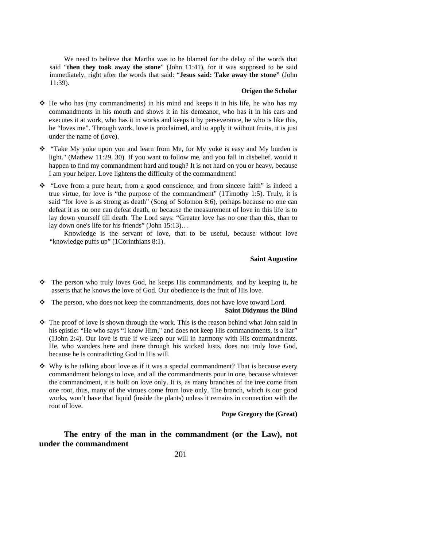We need to believe that Martha was to be blamed for the delay of the words that said "**then they took away the stone**" (John 11:41), for it was supposed to be said immediately, right after the words that said: "**Jesus said: Take away the stone"** (John 11:39).

### **Origen the Scholar**

- $\div$  He who has (my commandments) in his mind and keeps it in his life, he who has my commandments in his mouth and shows it in his demeanor, who has it in his ears and executes it at work, who has it in works and keeps it by perseverance, he who is like this, he "loves me". Through work, love is proclaimed, and to apply it without fruits, it is just under the name of (love).
- $\hat{\mathbf{v}}$  "Take My yoke upon you and learn from Me, for My yoke is easy and My burden is light." (Mathew 11:29, 30). If you want to follow me, and you fall in disbelief, would it happen to find my commandment hard and tough? It is not hard on you or heavy, because I am your helper. Love lightens the difficulty of the commandment!
- $\div$  "Love from a pure heart, from a good conscience, and from sincere faith" is indeed a true virtue, for love is "the purpose of the commandment" (1Timothy 1:5). Truly, it is said "for love is as strong as death" (Song of Solomon 8:6), perhaps because no one can defeat it as no one can defeat death, or because the measurement of love in this life is to lay down yourself till death. The Lord says: "Greater love has no one than this, than to lay down one's life for his friends" (John 15:13)…

Knowledge is the servant of love, that to be useful, because without love "knowledge puffs up" (1Corinthians 8:1).

#### **Saint Augustine**

- The person who truly loves God, he keeps His commandments, and by keeping it, he asserts that he knows the love of God. Our obedience is the fruit of His love.
- $\mathbf{\hat{P}}$  The person, who does not keep the commandments, does not have love toward Lord.

#### **Saint Didymus the Blind**

- $\hat{\cdot}$  The proof of love is shown through the work. This is the reason behind what John said in his epistle: "He who says "I know Him," and does not keep His commandments, is a liar" (1John 2:4). Our love is true if we keep our will in harmony with His commandments. He, who wanders here and there through his wicked lusts, does not truly love God, because he is contradicting God in His will.
- $\triangle$  Why is he talking about love as if it was a special commandment? That is because every commandment belongs to love, and all the commandments pour in one, because whatever the commandment, it is built on love only. It is, as many branches of the tree come from one root, thus, many of the virtues come from love only. The branch, which is our good works, won't have that liquid (inside the plants) unless it remains in connection with the root of love.

**Pope Gregory the (Great)** 

**The entry of the man in the commandment (or the Law), not under the commandment**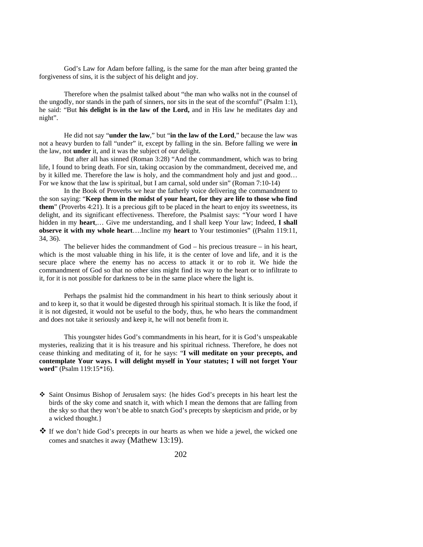God's Law for Adam before falling, is the same for the man after being granted the forgiveness of sins, it is the subject of his delight and joy.

Therefore when the psalmist talked about "the man who walks not in the counsel of the ungodly, nor stands in the path of sinners, nor sits in the seat of the scornful" (Psalm 1:1), he said: "But **his delight is in the law of the Lord,** and in His law he meditates day and night".

He did not say "**under the law**," but "**in the law of the Lord**," because the law was not a heavy burden to fall "under" it, except by falling in the sin. Before falling we were **in** the law, not **under** it, and it was the subject of our delight.

But after all has sinned (Roman 3:28) "And the commandment, which was to bring life, I found to bring death. For sin, taking occasion by the commandment, deceived me, and by it killed me. Therefore the law is holy, and the commandment holy and just and good… For we know that the law is spiritual, but I am carnal, sold under sin" (Roman 7:10-14)

In the Book of Proverbs we hear the fatherly voice delivering the commandment to the son saying: "**Keep them in the midst of your heart, for they are life to those who find them**" (Proverbs 4:21). It is a precious gift to be placed in the heart to enjoy its sweetness, its delight, and its significant effectiveness. Therefore, the Psalmist says: "Your word I have hidden in my **heart**,… Give me understanding, and I shall keep Your law; Indeed, **I shall observe it with my whole heart**….Incline my **heart** to Your testimonies" ((Psalm 119:11, 34, 36).

The believer hides the commandment of God – his precious treasure – in his heart, which is the most valuable thing in his life, it is the center of love and life, and it is the secure place where the enemy has no access to attack it or to rob it. We hide the commandment of God so that no other sins might find its way to the heart or to infiltrate to it, for it is not possible for darkness to be in the same place where the light is.

Perhaps the psalmist hid the commandment in his heart to think seriously about it and to keep it, so that it would be digested through his spiritual stomach. It is like the food, if it is not digested, it would not be useful to the body, thus, he who hears the commandment and does not take it seriously and keep it, he will not benefit from it.

This youngster hides God's commandments in his heart, for it is God's unspeakable mysteries, realizing that it is his treasure and his spiritual richness. Therefore, he does not cease thinking and meditating of it, for he says: "**I will meditate on your precepts, and contemplate Your ways. I will delight myself in Your statutes; I will not forget Your word**" (Psalm 119:15\*16).

- Saint Onsimus Bishop of Jerusalem says: {he hides God's precepts in his heart lest the birds of the sky come and snatch it, with which I mean the demons that are falling from the sky so that they won't be able to snatch God's precepts by skepticism and pride, or by a wicked thought.}
- $\clubsuit$  If we don't hide God's precepts in our hearts as when we hide a jewel, the wicked one comes and snatches it away (Mathew 13:19).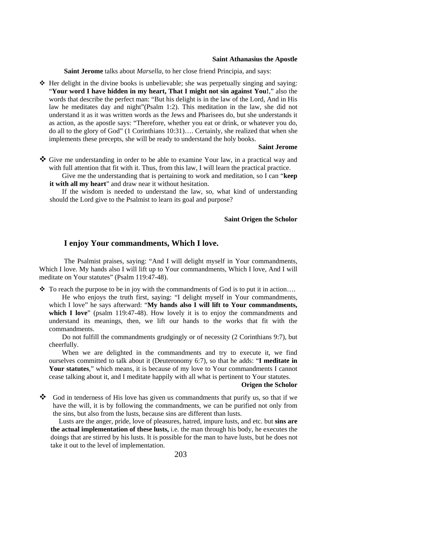#### **Saint Athanasius the Apostle**

**Saint Jerome** talks about *Marsella*, to her close friend Principia, and says:

 $\triangleleft$  Her delight in the divine books is unbelievable; she was perpetually singing and saying: "**Your word I have hidden in my heart, That I might not sin against You!**," also the words that describe the perfect man: "But his delight is in the law of the Lord, And in His law he meditates day and night"(Psalm 1:2). This meditation in the law, she did not understand it as it was written words as the Jews and Pharisees do, but she understands it as action, as the apostle says: "Therefore, whether you eat or drink, or whatever you do, do all to the glory of God" (1 Corinthians 10:31)…. Certainly, she realized that when she implements these precepts, she will be ready to understand the holy books.

#### **Saint Jerome**

- Give me understanding in order to be able to examine Your law, in a practical way and with full attention that fit with it. Thus, from this law, I will learn the practical practice.
	- Give me the understanding that is pertaining to work and meditation, so I can "**keep it with all my heart**" and draw near it without hesitation.

If the wisdom is needed to understand the law, so, what kind of understanding should the Lord give to the Psalmist to learn its goal and purpose?

#### **Saint Origen the Scholor**

### **I enjoy Your commandments, Which I love.**

The Psalmist praises, saying: "And I will delight myself in Your commandments, Which I love. My hands also I will lift up to Your commandments, Which I love, And I will meditate on Your statutes" (Psalm 119:47-48).

 $\cdot \cdot$  To reach the purpose to be in joy with the commandments of God is to put it in action...

He who enjoys the truth first, saying: "I delight myself in Your commandments, which I love" he says afterward: "**My hands also I will lift to Your commandments,**  which I love" (psalm 119:47-48). How lovely it is to enjoy the commandments and understand its meanings, then, we lift our hands to the works that fit with the commandments.

Do not fulfill the commandments grudgingly or of necessity (2 Corinthians 9:7), but cheerfully.

When we are delighted in the commandments and try to execute it, we find ourselves committed to talk about it (Deuteronomy 6:7), so that he adds: "**I meditate in Your statutes**," which means, it is because of my love to Your commandments I cannot cease talking about it, and I meditate happily with all what is pertinent to Your statutes.

#### **Origen the Scholor**

God in tenderness of His love has given us commandments that purify us, so that if we have the will, it is by following the commandments, we can be purified not only from the sins, but also from the lusts, because sins are different than lusts.

Lusts are the anger, pride, love of pleasures, hatred, impure lusts, and etc. but **sins are the actual implementation of these lusts,** i.e. the man through his body, he executes the doings that are stirred by his lusts. It is possible for the man to have lusts, but he does not take it out to the level of implementation.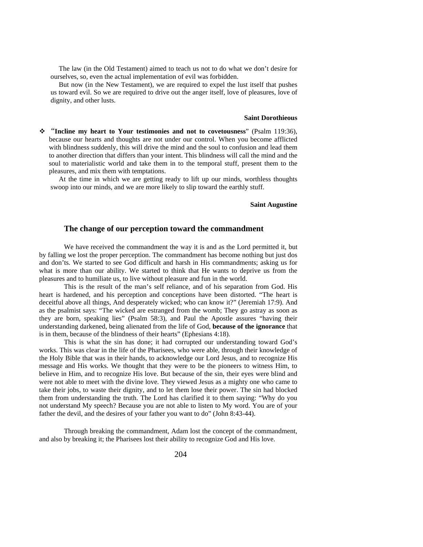The law (in the Old Testament) aimed to teach us not to do what we don't desire for ourselves, so, even the actual implementation of evil was forbidden.

But now (in the New Testament), we are required to expel the lust itself that pushes us toward evil. So we are required to drive out the anger itself, love of pleasures, love of dignity, and other lusts.

#### **Saint Dorothieous**

 "**Incline my heart to Your testimonies and not to covetousness**" (Psalm 119:36), because our hearts and thoughts are not under our control. When you become afflicted with blindness suddenly, this will drive the mind and the soul to confusion and lead them to another direction that differs than your intent. This blindness will call the mind and the soul to materialistic world and take them in to the temporal stuff, present them to the pleasures, and mix them with temptations.

At the time in which we are getting ready to lift up our minds, worthless thoughts swoop into our minds, and we are more likely to slip toward the earthly stuff.

### **Saint Augustine**

### **The change of our perception toward the commandment**

We have received the commandment the way it is and as the Lord permitted it, but by falling we lost the proper perception. The commandment has become nothing but just dos and don'ts. We started to see God difficult and harsh in His commandments; asking us for what is more than our ability. We started to think that He wants to deprive us from the pleasures and to humiliate us, to live without pleasure and fun in the world.

This is the result of the man's self reliance, and of his separation from God. His heart is hardened, and his perception and conceptions have been distorted. "The heart is deceitful above all things, And desperately wicked; who can know it?" (Jeremiah 17:9). And as the psalmist says: "The wicked are estranged from the womb; They go astray as soon as they are born, speaking lies" (Psalm 58:3), and Paul the Apostle assures "having their understanding darkened, being alienated from the life of God, **because of the ignorance** that is in them, because of the blindness of their hearts" (Ephesians 4:18).

This is what the sin has done; it had corrupted our understanding toward God's works. This was clear in the life of the Pharisees, who were able, through their knowledge of the Holy Bible that was in their hands, to acknowledge our Lord Jesus, and to recognize His message and His works. We thought that they were to be the pioneers to witness Him, to believe in Him, and to recognize His love. But because of the sin, their eyes were blind and were not able to meet with the divine love. They viewed Jesus as a mighty one who came to take their jobs, to waste their dignity, and to let them lose their power. The sin had blocked them from understanding the truth. The Lord has clarified it to them saying: "Why do you not understand My speech? Because you are not able to listen to My word. You are of your father the devil, and the desires of your father you want to do" (John 8:43-44).

Through breaking the commandment, Adam lost the concept of the commandment, and also by breaking it; the Pharisees lost their ability to recognize God and His love.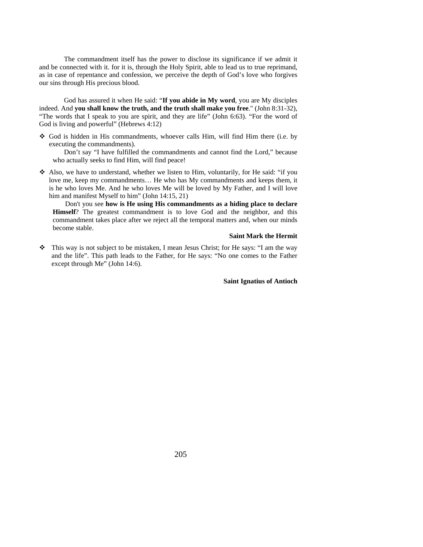The commandment itself has the power to disclose its significance if we admit it and be connected with it. for it is, through the Holy Spirit, able to lead us to true reprimand, as in case of repentance and confession, we perceive the depth of God's love who forgives our sins through His precious blood.

God has assured it when He said: "**If you abide in My word**, you are My disciples indeed. And **you shall know the truth, and the truth shall make you free**." (John 8:31-32), "The words that I speak to you are spirit, and they are life" (John 6:63). "For the word of God is living and powerful" (Hebrews 4:12)

 God is hidden in His commandments, whoever calls Him, will find Him there (i.e. by executing the commandments).

Don't say "I have fulfilled the commandments and cannot find the Lord," because who actually seeks to find Him, will find peace!

 $\triangle$  Also, we have to understand, whether we listen to Him, voluntarily, for He said: "if you love me, keep my commandments… He who has My commandments and keeps them, it is he who loves Me. And he who loves Me will be loved by My Father, and I will love him and manifest Myself to him" (John 14:15, 21)

Don't you see **how is He using His commandments as a hiding place to declare Himself**? The greatest commandment is to love God and the neighbor, and this commandment takes place after we reject all the temporal matters and, when our minds become stable.

### **Saint Mark the Hermit**

 $\bullet$  This way is not subject to be mistaken, I mean Jesus Christ; for He says: "I am the way and the life". This path leads to the Father, for He says: "No one comes to the Father except through Me" (John 14:6).

### **Saint Ignatius of Antioch**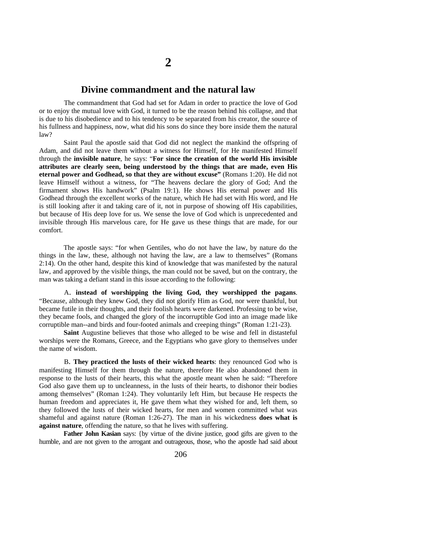### **Divine commandment and the natural law**

The commandment that God had set for Adam in order to practice the love of God or to enjoy the mutual love with God, it turned to be the reason behind his collapse, and that is due to his disobedience and to his tendency to be separated from his creator, the source of his fullness and happiness, now, what did his sons do since they bore inside them the natural law?

Saint Paul the apostle said that God did not neglect the mankind the offspring of Adam, and did not leave them without a witness for Himself, for He manifested Himself through the **invisible nature**, he says: "**For since the creation of the world His invisible attributes are clearly seen, being understood by the things that are made, even His eternal power and Godhead, so that they are without excuse"** (Romans 1:20). He did not leave Himself without a witness, for "The heavens declare the glory of God; And the firmament shows His handwork" (Psalm 19:1). He shows His eternal power and His Godhead through the excellent works of the nature, which He had set with His word, and He is still looking after it and taking care of it, not in purpose of showing off His capabilities, but because of His deep love for us. We sense the love of God which is unprecedented and invisible through His marvelous care, for He gave us these things that are made, for our comfort.

The apostle says: "for when Gentiles, who do not have the law, by nature do the things in the law, these, although not having the law, are a law to themselves" (Romans 2:14). On the other hand, despite this kind of knowledge that was manifested by the natural law, and approved by the visible things, the man could not be saved, but on the contrary, the man was taking a defiant stand in this issue according to the following:

A. **instead of worshipping the living God, they worshipped the pagans**. "Because, although they knew God, they did not glorify Him as God, nor were thankful, but became futile in their thoughts, and their foolish hearts were darkened. Professing to be wise, they became fools, and changed the glory of the incorruptible God into an image made like corruptible man--and birds and four-footed animals and creeping things" (Roman 1:21-23).

**Saint** Augustine believes that those who alleged to be wise and fell in distasteful worships were the Romans, Greece, and the Egyptians who gave glory to themselves under the name of wisdom.

B. **They practiced the lusts of their wicked hearts**: they renounced God who is manifesting Himself for them through the nature, therefore He also abandoned them in response to the lusts of their hearts, this what the apostle meant when he said: "Therefore God also gave them up to uncleanness, in the lusts of their hearts, to dishonor their bodies among themselves" (Roman 1:24). They voluntarily left Him, but because He respects the human freedom and appreciates it, He gave them what they wished for and, left them, so they followed the lusts of their wicked hearts, for men and women committed what was shameful and against nature (Roman 1:26-27). The man in his wickedness **does what is against nature**, offending the nature, so that he lives with suffering.

**Father John Kasian** says: {by virtue of the divine justice, good gifts are given to the humble, and are not given to the arrogant and outrageous, those, who the apostle had said about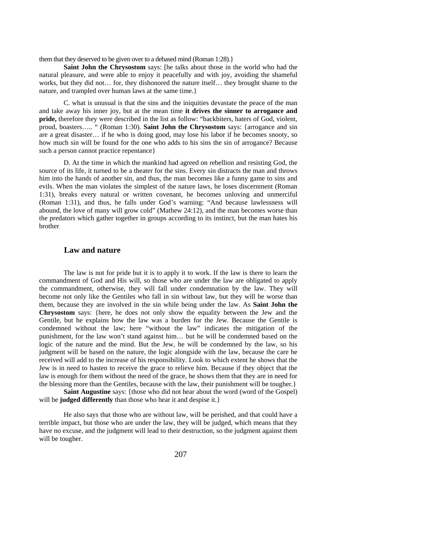them that they deserved to be given over to a debased mind (Roman 1:28).}

**Saint John the Chrysostom** says: [he talks about those in the world who had the natural pleasure, and were able to enjoy it peacefully and with joy, avoiding the shameful works, but they did not… for, they dishonored the nature itself… they brought shame to the nature, and trampled over human laws at the same time.}

C. what is unusual is that the sins and the iniquities devastate the peace of the man and take away his inner joy, but at the mean time **it drives the sinner to arrogance and pride,** therefore they were described in the list as follow: "backbiters, haters of God, violent, proud, boasters….. " (Roman 1:30). **Saint John the Chrysostom** says: {arrogance and sin are a great disaster… if he who is doing good, may lose his labor if he becomes snooty, so how much sin will be found for the one who adds to his sins the sin of arrogance? Because such a person cannot practice repentance}

D. At the time in which the mankind had agreed on rebellion and resisting God, the source of its life, it turned to be a theater for the sins. Every sin distracts the man and throws him into the hands of another sin, and thus, the man becomes like a funny game to sins and evils. When the man violates the simplest of the nature laws, he loses discernment (Roman 1:31), breaks every natural or written covenant, he becomes unloving and unmerciful (Roman 1:31), and thus, he falls under God's warning: "And because lawlessness will abound, the love of many will grow cold" (Mathew 24:12), and the man becomes worse than the predators which gather together in groups according to its instinct, but the man hates his brother.

### **Law and nature**

The law is not for pride but it is to apply it to work. If the law is there to learn the commandment of God and His will, so those who are under the law are obligated to apply the commandment, otherwise, they will fall under condemnation by the law. They will become not only like the Gentiles who fall in sin without law, but they will be worse than them, because they are involved in the sin while being under the law. As **Saint John the Chrysostom** says: {here, he does not only show the equality between the Jew and the Gentile, but he explains how the law was a burden for the Jew. Because the Gentile is condemned without the law; here "without the law" indicates the mitigation of the punishment, for the law won't stand against him… but he will be condemned based on the logic of the nature and the mind. But the Jew, he will be condemned by the law, so his judgment will be based on the nature, the logic alongside with the law, because the care he received will add to the increase of his responsibility. Look to which extent he shows that the Jew is in need to hasten to receive the grace to relieve him. Because if they object that the law is enough for them without the need of the grace, he shows them that they are in need for the blessing more than the Gentiles, because with the law, their punishment will be tougher.}

**Saint Augustine** says: {those who did not hear about the word (word of the Gospel) will be **judged differently** than those who hear it and despise it.

He also says that those who are without law, will be perished, and that could have a terrible impact, but those who are under the law, they will be judged, which means that they have no excuse, and the judgment will lead to their destruction, so the judgment against them will be tougher.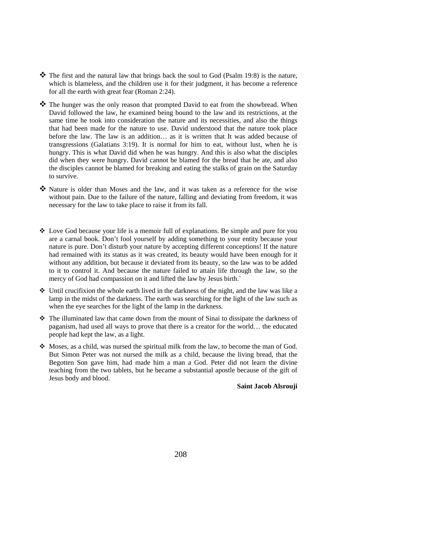- \* The first and the natural law that brings back the soul to God (Psalm 19:8) is the nature, which is blameless, and the children use it for their judgment, it has become a reference for all the earth with great fear (Roman 2:24).
- \* The hunger was the only reason that prompted David to eat from the showbread. When David followed the law, he examined being bound to the law and its restrictions, at the same time he took into consideration the nature and its necessities, and also the things that had been made for the nature to use. David understood that the nature took place before the law. The law is an addition… as it is written that It was added because of transgressions (Galatians 3:19). It is normal for him to eat, without lust, when he is hungry. This is what David did when he was hungry. And this is also what the disciples did when they were hungry. David cannot be blamed for the bread that he ate, and also the disciples cannot be blamed for breaking and eating the stalks of grain on the Saturday to survive.
- Nature is older than Moses and the law, and it was taken as a reference for the wise without pain. Due to the failure of the nature, falling and deviating from freedom, it was necessary for the law to take place to raise it from its fall.
- $\triangle$  Love God because your life is a memoir full of explanations. Be simple and pure for you are a carnal book. Don't fool yourself by adding something to your entity because your nature is pure. Don't disturb your nature by accepting different conceptions! If the nature had remained with its status as it was created, its beauty would have been enough for it without any addition, but because it deviated from its beauty, so the law was to be added to it to control it. And because the nature failed to attain life through the law, so the mercy of God had compassion on it and lifted the law by Jesus birth.`
- Until crucifixion the whole earth lived in the darkness of the night, and the law was like a lamp in the midst of the darkness. The earth was searching for the light of the law such as when the eye searches for the light of the lamp in the darkness.
- The illuminated law that came down from the mount of Sinai to dissipate the darkness of paganism, had used all ways to prove that there is a creator for the world… the educated people had kept the law, as a light.
- $\clubsuit$  Moses, as a child, was nursed the spiritual milk from the law, to become the man of God. But Simon Peter was not nursed the milk as a child, because the living bread, that the Begotten Son gave him, had made him a man a God. Peter did not learn the divine teaching from the two tablets, but he became a substantial apostle because of the gift of Jesus body and blood.

**Saint Jacob Alsrouji**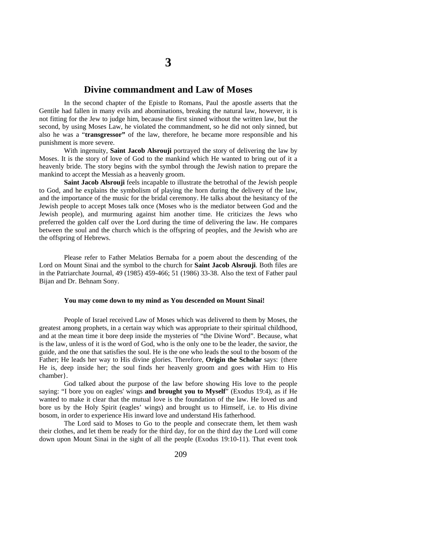### **Divine commandment and Law of Moses**

In the second chapter of the Epistle to Romans, Paul the apostle asserts that the Gentile had fallen in many evils and abominations, breaking the natural law, however, it is not fitting for the Jew to judge him, because the first sinned without the written law, but the second, by using Moses Law, he violated the commandment, so he did not only sinned, but also he was a "**transgressor"** of the law, therefore, he became more responsible and his punishment is more severe.

With ingenuity, **Saint Jacob Alsrouji** portrayed the story of delivering the law by Moses. It is the story of love of God to the mankind which He wanted to bring out of it a heavenly bride. The story begins with the symbol through the Jewish nation to prepare the mankind to accept the Messiah as a heavenly groom.

**Saint Jacob Alsrouji** feels incapable to illustrate the betrothal of the Jewish people to God, and he explains the symbolism of playing the horn during the delivery of the law, and the importance of the music for the bridal ceremony. He talks about the hesitancy of the Jewish people to accept Moses talk once (Moses who is the mediator between God and the Jewish people), and murmuring against him another time. He criticizes the Jews who preferred the golden calf over the Lord during the time of delivering the law. He compares between the soul and the church which is the offspring of peoples, and the Jewish who are the offspring of Hebrews.

Please refer to Father Melatios Bernaba for a poem about the descending of the Lord on Mount Sinai and the symbol to the church for **Saint Jacob Alsrouji**. Both files are in the Patriarchate Journal, 49 (1985) 459-466; 51 (1986) 33-38. Also the text of Father paul Bijan and Dr. Behnam Sony.

#### **You may come down to my mind as You descended on Mount Sinai!**

People of Israel received Law of Moses which was delivered to them by Moses, the greatest among prophets, in a certain way which was appropriate to their spiritual childhood, and at the mean time it bore deep inside the mysteries of "the Divine Word". Because, what is the law, unless of it is the word of God, who is the only one to be the leader, the savior, the guide, and the one that satisfies the soul. He is the one who leads the soul to the bosom of the Father; He leads her way to His divine glories. Therefore, **Origin the Scholar** says: {there He is, deep inside her; the soul finds her heavenly groom and goes with Him to His chamber}.

God talked about the purpose of the law before showing His love to the people saying: "I bore you on eagles' wings **and brought you to Myself**" (Exodus 19:4), as if He wanted to make it clear that the mutual love is the foundation of the law. He loved us and bore us by the Holy Spirit (eagles' wings) and brought us to Himself, i.e. to His divine bosom, in order to experience His inward love and understand His fatherhood.

The Lord said to Moses to Go to the people and consecrate them, let them wash their clothes, and let them be ready for the third day, for on the third day the Lord will come down upon Mount Sinai in the sight of all the people (Exodus 19:10-11). That event took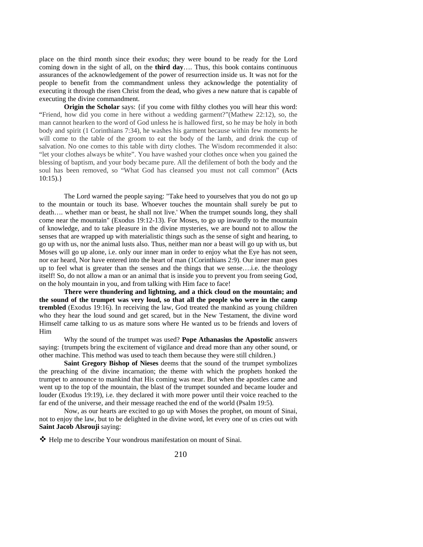place on the third month since their exodus; they were bound to be ready for the Lord coming down in the sight of all, on the **third day**…. Thus, this book contains continuous assurances of the acknowledgement of the power of resurrection inside us. It was not for the people to benefit from the commandment unless they acknowledge the potentiality of executing it through the risen Christ from the dead, who gives a new nature that is capable of executing the divine commandment.

**Origin the Scholar** says: {if you come with filthy clothes you will hear this word: "Friend, how did you come in here without a wedding garment?"(Mathew 22:12), so, the man cannot hearken to the word of God unless he is hallowed first, so he may be holy in both body and spirit (1 Corinthians 7:34), he washes his garment because within few moments he will come to the table of the groom to eat the body of the lamb, and drink the cup of salvation. No one comes to this table with dirty clothes. The Wisdom recommended it also: "let your clothes always be white". You have washed your clothes once when you gained the blessing of baptism, and your body became pure. All the defilement of both the body and the soul has been removed, so "What God has cleansed you must not call common" (Acts  $10:15$ ).}

The Lord warned the people saying: "Take heed to yourselves that you do not go up to the mountain or touch its base. Whoever touches the mountain shall surely be put to death…. whether man or beast, he shall not live.' When the trumpet sounds long, they shall come near the mountain" (Exodus 19:12-13). For Moses, to go up inwardly to the mountain of knowledge, and to take pleasure in the divine mysteries, we are bound not to allow the senses that are wrapped up with materialistic things such as the sense of sight and hearing, to go up with us, nor the animal lusts also. Thus, neither man nor a beast will go up with us, but Moses will go up alone, i.e. only our inner man in order to enjoy what the Eye has not seen, nor ear heard, Nor have entered into the heart of man (1Corinthians 2:9). Our inner man goes up to feel what is greater than the senses and the things that we sense….i.e. the theology itself! So, do not allow a man or an animal that is inside you to prevent you from seeing God, on the holy mountain in you, and from talking with Him face to face!

**There were thundering and lightning, and a thick cloud on the mountain; and the sound of the trumpet was very loud, so that all the people who were in the camp trembled** (Exodus 19:16). In receiving the law, God treated the mankind as young children who they hear the loud sound and get scared, but in the New Testament, the divine word Himself came talking to us as mature sons where He wanted us to be friends and lovers of Him

Why the sound of the trumpet was used? **Pope Athanasius the Apostolic** answers saying: {trumpets bring the excitement of vigilance and dread more than any other sound, or other machine. This method was used to teach them because they were still children.}

**Saint Gregory Bishop of Nieses** deems that the sound of the trumpet symbolizes the preaching of the divine incarnation; the theme with which the prophets honked the trumpet to announce to mankind that His coming was near. But when the apostles came and went up to the top of the mountain, the blast of the trumpet sounded and became louder and louder (Exodus 19:19), i.e. they declared it with more power until their voice reached to the far end of the universe, and their message reached the end of the world (Psalm 19:5).

Now, as our hearts are excited to go up with Moses the prophet, on mount of Sinai, not to enjoy the law, but to be delighted in the divine word, let every one of us cries out with **Saint Jacob Alsrouji** saying:

Help me to describe Your wondrous manifestation on mount of Sinai.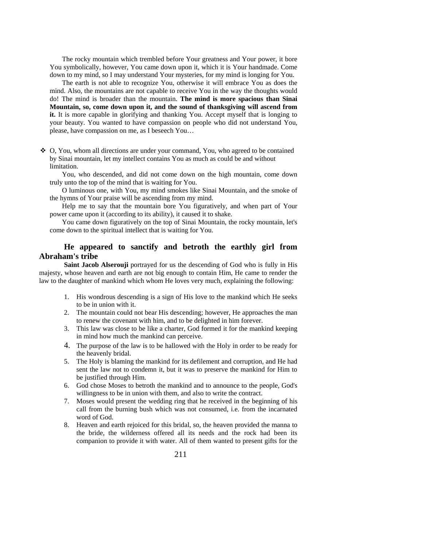The rocky mountain which trembled before Your greatness and Your power, it bore You symbolically, however, You came down upon it, which it is Your handmade. Come down to my mind, so I may understand Your mysteries, for my mind is longing for You.

The earth is not able to recognize You, otherwise it will embrace You as does the mind. Also, the mountains are not capable to receive You in the way the thoughts would do! The mind is broader than the mountain. **The mind is more spacious than Sinai Mountain, so, come down upon it, and the sound of thanksgiving will ascend from it.** It is more capable in glorifying and thanking You. Accept myself that is longing to your beauty. You wanted to have compassion on people who did not understand You, please, have compassion on me, as I beseech You…

 O, You, whom all directions are under your command, You, who agreed to be contained by Sinai mountain, let my intellect contains You as much as could be and without limitation.

You, who descended, and did not come down on the high mountain, come down truly unto the top of the mind that is waiting for You.

O luminous one, with You, my mind smokes like Sinai Mountain, and the smoke of the hymns of Your praise will be ascending from my mind.

Help me to say that the mountain bore You figuratively, and when part of Your power came upon it (according to its ability), it caused it to shake.

You came down figuratively on the top of Sinai Mountain, the rocky mountain, let's come down to the spiritual intellect that is waiting for You.

### **He appeared to sanctify and betroth the earthly girl from Abraham's tribe**

**Saint Jacob Alserouji** portrayed for us the descending of God who is fully in His majesty, whose heaven and earth are not big enough to contain Him, He came to render the law to the daughter of mankind which whom He loves very much, explaining the following:

- 1. His wondrous descending is a sign of His love to the mankind which He seeks to be in union with it.
- 2. The mountain could not bear His descending; however, He approaches the man to renew the covenant with him, and to be delighted in him forever.
- 3. This law was close to be like a charter, God formed it for the mankind keeping in mind how much the mankind can perceive.
- 4. The purpose of the law is to be hallowed with the Holy in order to be ready for the heavenly bridal.
- 5. The Holy is blaming the mankind for its defilement and corruption, and He had sent the law not to condemn it, but it was to preserve the mankind for Him to be justified through Him.
- 6. God chose Moses to betroth the mankind and to announce to the people, God's willingness to be in union with them, and also to write the contract.
- 7. Moses would present the wedding ring that he received in the beginning of his call from the burning bush which was not consumed, i.e. from the incarnated word of God.
- 8. Heaven and earth rejoiced for this bridal, so, the heaven provided the manna to the bride, the wilderness offered all its needs and the rock had been its companion to provide it with water. All of them wanted to present gifts for the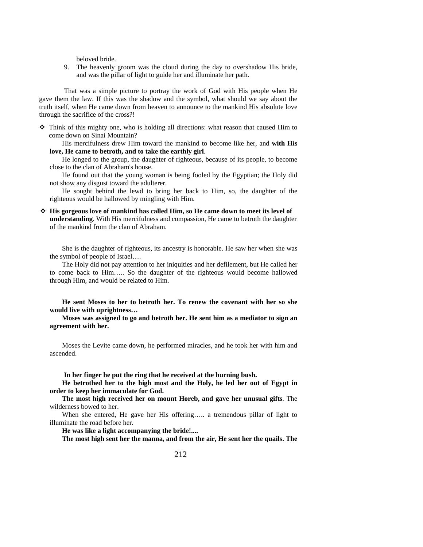beloved bride.

9. The heavenly groom was the cloud during the day to overshadow His bride, and was the pillar of light to guide her and illuminate her path.

That was a simple picture to portray the work of God with His people when He gave them the law. If this was the shadow and the symbol, what should we say about the truth itself, when He came down from heaven to announce to the mankind His absolute love through the sacrifice of the cross?!

 $\hat{\mathbf{\cdot}}$  Think of this mighty one, who is holding all directions: what reason that caused Him to come down on Sinai Mountain?

His mercifulness drew Him toward the mankind to become like her, and **with His love, He came to betroth, and to take the earthly girl**.

He longed to the group, the daughter of righteous, because of its people, to become close to the clan of Abraham's house.

He found out that the young woman is being fooled by the Egyptian; the Holy did not show any disgust toward the adulterer.

He sought behind the lewd to bring her back to Him, so, the daughter of the righteous would be hallowed by mingling with Him.

 **His gorgeous love of mankind has called Him, so He came down to meet its level of understanding**. With His mercifulness and compassion, He came to betroth the daughter of the mankind from the clan of Abraham.

She is the daughter of righteous, its ancestry is honorable. He saw her when she was the symbol of people of Israel….

The Holy did not pay attention to her iniquities and her defilement, but He called her to come back to Him….. So the daughter of the righteous would become hallowed through Him, and would be related to Him.

**He sent Moses to her to betroth her. To renew the covenant with her so she would live with uprightness…** 

**Moses was assigned to go and betroth her. He sent him as a mediator to sign an agreement with her.**

Moses the Levite came down, he performed miracles, and he took her with him and ascended.

**In her finger he put the ring that he received at the burning bush.**

**He betrothed her to the high most and the Holy, he led her out of Egypt in order to keep her immaculate for God.**

**The most high received her on mount Horeb, and gave her unusual gifts**. The wilderness bowed to her.

When she entered, He gave her His offering….. a tremendous pillar of light to illuminate the road before her.

**He was like a light accompanying the bride!....**

**The most high sent her the manna, and from the air, He sent her the quails. The**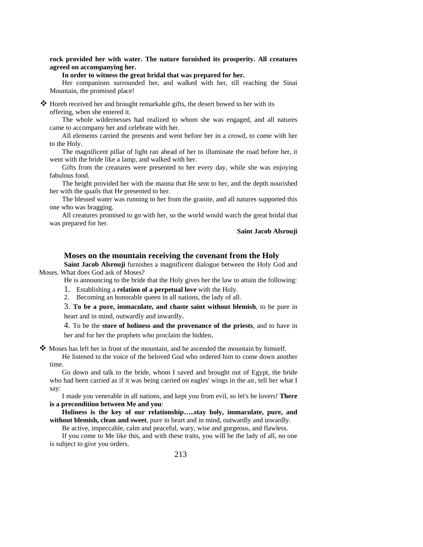**rock provided her with water. The nature furnished its prosperity. All creatures agreed on accompanying her.**

#### **In order to witness the great bridal that was prepared for her.**

Her companions surrounded her, and walked with her, till reaching the Sinai Mountain, the promised place!

 Horeb received her and brought remarkable gifts, the desert bowed to her with its offering, when she entered it.

The whole wildernesses had realized to whom she was engaged, and all natures came to accompany her and celebrate with her.

All elements carried the presents and went before her in a crowd, to come with her to the Holy.

The magnificent pillar of light ran ahead of her to illuminate the road before her, it went with the bride like a lamp, and walked with her.

Gifts from the creatures were presented to her every day, while she was enjoying fabulous food.

The height provided her with the manna that He sent to her, and the depth nourished her with the quails that He presented to her.

The blessed water was running to her from the granite, and all natures supported this one who was bragging.

All creatures promised to go with her, so the world would watch the great bridal that was prepared for her.

**Saint Jacob Alsrouji** 

### **Moses on the mountain receiving the covenant from the Holy**

**Saint Jacob Alsrouji** furnishes a magnificent dialogue between the Holy God and Moses. What does God ask of Moses?

He is announcing to the bride that the Holy gives her the law to attain the following:

1. Establishing a **relation of a perpetual love** with the Holy.

2. Becoming an honorable queen in all nations, the lady of all.

3. **To be a pure, immaculate, and chaste saint without blemish**, to be pure in heart and in mind, outwardly and inwardly.

4. To be the **store of holiness and the provenance of the priests**, and to have in her and for her the prophets who proclaim the hidden.

 $\clubsuit$  Moses has left her in front of the mountain, and he ascended the mountain by himself.

He listened to the voice of the beloved God who ordered him to come down another time.

Go down and talk to the bride, whom I saved and brought out of Egypt, the bride who had been carried as if it was being carried on eagles' wings in the air, tell her what I say:

I made you venerable in all nations, and kept you from evil, so let's be lovers! **There is a precondition between Me and you**:

**Holiness is the key of our relationship…..stay holy, immaculate, pure, and without blemish, clean and sweet**, pure in heart and in mind, outwardly and inwardly.

Be active, impeccable, calm and peaceful, wary, wise and gorgeous, and flawless.

If you come to Me like this, and with these traits, you will be the lady of all, no one is subject to give you orders.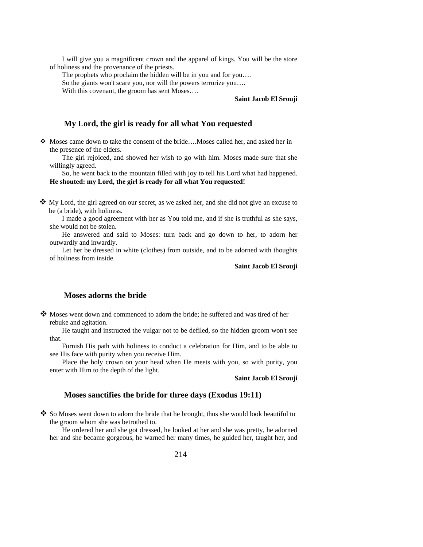I will give you a magnificent crown and the apparel of kings. You will be the store of holiness and the provenance of the priests.

The prophets who proclaim the hidden will be in you and for you….

So the giants won't scare you, nor will the powers terrorize you….

With this covenant, the groom has sent Moses....

### **Saint Jacob El Srouji**

### **My Lord, the girl is ready for all what You requested**

 Moses came down to take the consent of the bride….Moses called her, and asked her in the presence of the elders.

The girl rejoiced, and showed her wish to go with him. Moses made sure that she willingly agreed.

So, he went back to the mountain filled with joy to tell his Lord what had happened. **He shouted: my Lord, the girl is ready for all what You requested!** 

 $\clubsuit$  My Lord, the girl agreed on our secret, as we asked her, and she did not give an excuse to be (a bride), with holiness.

I made a good agreement with her as You told me, and if she is truthful as she says, she would not be stolen.

He answered and said to Moses: turn back and go down to her, to adorn her outwardly and inwardly.

Let her be dressed in white (clothes) from outside, and to be adorned with thoughts of holiness from inside.

**Saint Jacob El Srouji**

### **Moses adorns the bride**

 Moses went down and commenced to adorn the bride; he suffered and was tired of her rebuke and agitation.

He taught and instructed the vulgar not to be defiled, so the hidden groom won't see that.

Furnish His path with holiness to conduct a celebration for Him, and to be able to see His face with purity when you receive Him.

Place the holy crown on your head when He meets with you, so with purity, you enter with Him to the depth of the light.

**Saint Jacob El Srouji** 

### **Moses sanctifies the bride for three days (Exodus 19:11)**

 $\bullet$  So Moses went down to adorn the bride that he brought, thus she would look beautiful to the groom whom she was betrothed to.

He ordered her and she got dressed, he looked at her and she was pretty, he adorned her and she became gorgeous, he warned her many times, he guided her, taught her, and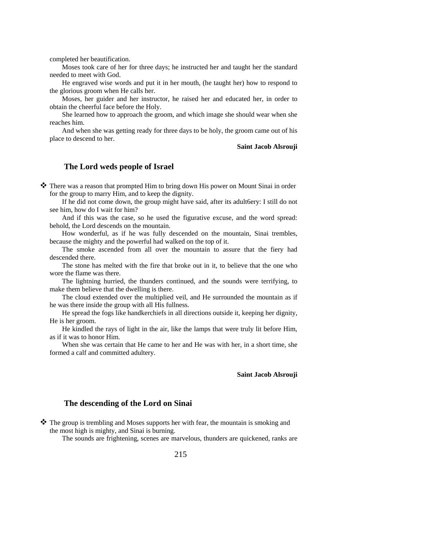completed her beautification.

Moses took care of her for three days; he instructed her and taught her the standard needed to meet with God.

He engraved wise words and put it in her mouth, (he taught her) how to respond to the glorious groom when He calls her.

Moses, her guider and her instructor, he raised her and educated her, in order to obtain the cheerful face before the Holy.

She learned how to approach the groom, and which image she should wear when she reaches him.

And when she was getting ready for three days to be holy, the groom came out of his place to descend to her.

**Saint Jacob Alsrouji**

### **The Lord weds people of Israel**

 $\clubsuit$  There was a reason that prompted Him to bring down His power on Mount Sinai in order for the group to marry Him, and to keep the dignity.

If he did not come down, the group might have said, after its adult6ery: I still do not see him, how do I wait for him?

And if this was the case, so he used the figurative excuse, and the word spread: behold, the Lord descends on the mountain.

How wonderful, as if he was fully descended on the mountain, Sinai trembles, because the mighty and the powerful had walked on the top of it.

The smoke ascended from all over the mountain to assure that the fiery had descended there.

The stone has melted with the fire that broke out in it, to believe that the one who wore the flame was there.

The lightning hurried, the thunders continued, and the sounds were terrifying, to make them believe that the dwelling is there.

The cloud extended over the multiplied veil, and He surrounded the mountain as if he was there inside the group with all His fullness.

He spread the fogs like handkerchiefs in all directions outside it, keeping her dignity, He is her groom.

He kindled the rays of light in the air, like the lamps that were truly lit before Him, as if it was to honor Him.

When she was certain that He came to her and He was with her, in a short time, she formed a calf and committed adultery.

#### **Saint Jacob Alsrouji**

### **The descending of the Lord on Sinai**

 $\clubsuit$  The group is trembling and Moses supports her with fear, the mountain is smoking and the most high is mighty, and Sinai is burning.

The sounds are frightening, scenes are marvelous, thunders are quickened, ranks are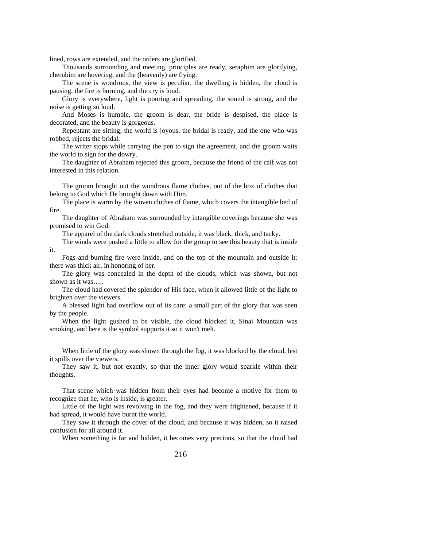lined, rows are extended, and the orders are glorified.

Thousands surrounding and meeting, principles are ready, seraphim are glorifying, cherubim are hovering, and the (heavenly) are flying.

The scene is wondrous, the view is peculiar, the dwelling is hidden, the cloud is pausing, the fire is burning, and the cry is loud.

Glory is everywhere, light is pouring and spreading, the sound is strong, and the noise is getting so loud.

And Moses is humble, the groom is dear, the bride is despised, the place is decorated, and the beauty is gorgeous.

Repentant are sitting, the world is joyous, the bridal is ready, and the one who was robbed, rejects the bridal.

The writer stops while carrying the pen to sign the agreement, and the groom waits the world to sign for the dowry.

The daughter of Abraham rejected this groom, because the friend of the calf was not interested in this relation.

The groom brought out the wondrous flame clothes, out of the box of clothes that belong to God which He brought down with Him.

The place is warm by the woven clothes of flame, which covers the intangible bed of fire.

The daughter of Abraham was surrounded by intangible coverings because she was promised to win God.

The apparel of the dark clouds stretched outside; it was black, thick, and tacky.

The winds were pushed a little to allow for the group to see this beauty that is inside it.

Fogs and burning fire were inside, and on the top of the mountain and outside it; there was thick air, in honoring of her.

The glory was concealed in the depth of the clouds, which was shown, but not shown as it was…..

The cloud had covered the splendor of His face, when it allowed little of the light to brighten over the viewers.

A blessed light had overflow out of its care: a small part of the glory that was seen by the people.

When the light gushed to be visible, the cloud blocked it, Sinai Mountain was smoking, and here is the symbol supports it so it won't melt.

When little of the glory was shown through the fog, it was blocked by the cloud, lest it spills over the viewers.

They saw it, but not exactly, so that the inner glory would sparkle within their thoughts.

That scene which was hidden from their eyes had become a motive for them to recognize that he, who is inside, is greater.

Little of the light was revolving in the fog, and they were frightened, because if it had spread, it would have burnt the world.

They saw it through the cover of the cloud, and because it was hidden, so it raised confusion for all around it.

When something is far and hidden, it becomes very precious, so that the cloud had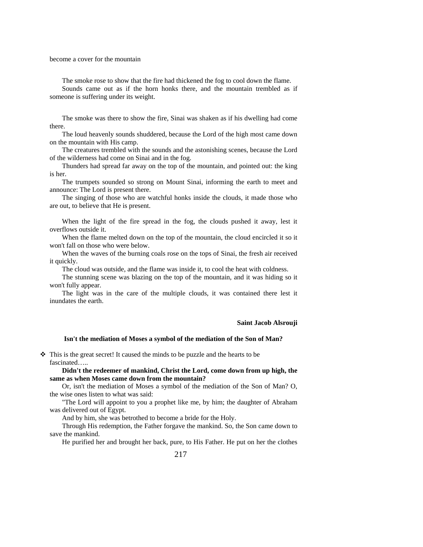become a cover for the mountain

The smoke rose to show that the fire had thickened the fog to cool down the flame. Sounds came out as if the horn honks there, and the mountain trembled as if someone is suffering under its weight.

The smoke was there to show the fire, Sinai was shaken as if his dwelling had come there.

The loud heavenly sounds shuddered, because the Lord of the high most came down on the mountain with His camp.

The creatures trembled with the sounds and the astonishing scenes, because the Lord of the wilderness had come on Sinai and in the fog.

Thunders had spread far away on the top of the mountain, and pointed out: the king is her.

The trumpets sounded so strong on Mount Sinai, informing the earth to meet and announce: The Lord is present there.

The singing of those who are watchful honks inside the clouds, it made those who are out, to believe that He is present.

When the light of the fire spread in the fog, the clouds pushed it away, lest it overflows outside it.

When the flame melted down on the top of the mountain, the cloud encircled it so it won't fall on those who were below.

When the waves of the burning coals rose on the tops of Sinai, the fresh air received it quickly.

The cloud was outside, and the flame was inside it, to cool the heat with coldness.

The stunning scene was blazing on the top of the mountain, and it was hiding so it won't fully appear.

The light was in the care of the multiple clouds, it was contained there lest it inundates the earth.

**Saint Jacob Alsrouji** 

#### **Isn't the mediation of Moses a symbol of the mediation of the Son of Man?**

 This is the great secret! It caused the minds to be puzzle and the hearts to be fascinated…..

**Didn't the redeemer of mankind, Christ the Lord, come down from up high, the same as when Moses came down from the mountain?** 

Or, isn't the mediation of Moses a symbol of the mediation of the Son of Man? O, the wise ones listen to what was said:

"The Lord will appoint to you a prophet like me, by him; the daughter of Abraham was delivered out of Egypt.

And by him, she was betrothed to become a bride for the Holy.

Through His redemption, the Father forgave the mankind. So, the Son came down to save the mankind.

He purified her and brought her back, pure, to His Father. He put on her the clothes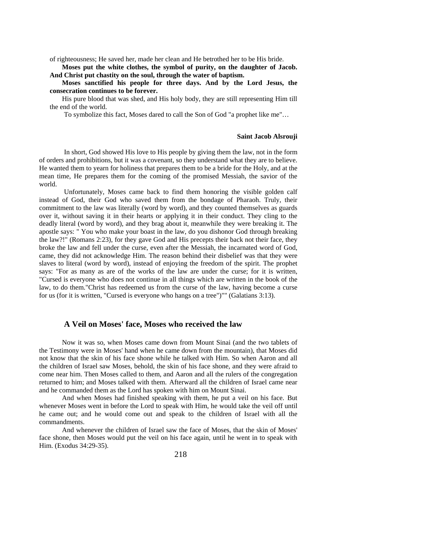of righteousness; He saved her, made her clean and He betrothed her to be His bride.

**Moses put the white clothes, the symbol of purity, on the daughter of Jacob. And Christ put chastity on the soul, through the water of baptism.** 

**Moses sanctified his people for three days. And by the Lord Jesus, the consecration continues to be forever.** 

His pure blood that was shed, and His holy body, they are still representing Him till the end of the world.

To symbolize this fact, Moses dared to call the Son of God "a prophet like me"…

#### **Saint Jacob Alsrouji**

In short, God showed His love to His people by giving them the law, not in the form of orders and prohibitions, but it was a covenant, so they understand what they are to believe. He wanted them to yearn for holiness that prepares them to be a bride for the Holy, and at the mean time, He prepares them for the coming of the promised Messiah, the savior of the world.

Unfortunately, Moses came back to find them honoring the visible golden calf instead of God, their God who saved them from the bondage of Pharaoh. Truly, their commitment to the law was literally (word by word), and they counted themselves as guards over it, without saving it in their hearts or applying it in their conduct. They cling to the deadly literal (word by word), and they brag about it, meanwhile they were breaking it. The apostle says: " You who make your boast in the law, do you dishonor God through breaking the law?!" (Romans 2:23), for they gave God and His precepts their back not their face, they broke the law and fell under the curse, even after the Messiah, the incarnated word of God, came, they did not acknowledge Him. The reason behind their disbelief was that they were slaves to literal (word by word), instead of enjoying the freedom of the spirit. The prophet says: "For as many as are of the works of the law are under the curse; for it is written, "Cursed is everyone who does not continue in all things which are written in the book of the law, to do them."Christ has redeemed us from the curse of the law, having become a curse for us (for it is written, "Cursed is everyone who hangs on a tree")"" (Galatians 3:13).

### **A Veil on Moses' face, Moses who received the law**

Now it was so, when Moses came down from Mount Sinai (and the two tablets of the Testimony were in Moses' hand when he came down from the mountain), that Moses did not know that the skin of his face shone while he talked with Him. So when Aaron and all the children of Israel saw Moses, behold, the skin of his face shone, and they were afraid to come near him. Then Moses called to them, and Aaron and all the rulers of the congregation returned to him; and Moses talked with them. Afterward all the children of Israel came near and he commanded them as the Lord has spoken with him on Mount Sinai.

And when Moses had finished speaking with them, he put a veil on his face. But whenever Moses went in before the Lord to speak with Him, he would take the veil off until he came out; and he would come out and speak to the children of Israel with all the commandments.

And whenever the children of Israel saw the face of Moses, that the skin of Moses' face shone, then Moses would put the veil on his face again, until he went in to speak with Him. (Exodus 34:29-35).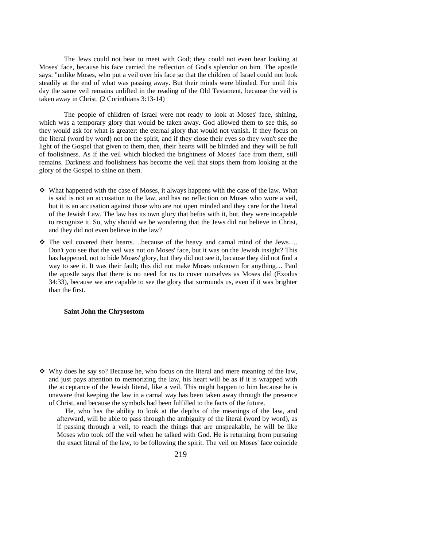The Jews could not bear to meet with God; they could not even bear looking at Moses' face, because his face carried the reflection of God's splendor on him. The apostle says: "unlike Moses, who put a veil over his face so that the children of Israel could not look steadily at the end of what was passing away. But their minds were blinded. For until this day the same veil remains unlifted in the reading of the Old Testament, because the veil is taken away in Christ. (2 Corinthians 3:13-14)

The people of children of Israel were not ready to look at Moses' face, shining, which was a temporary glory that would be taken away. God allowed them to see this, so they would ask for what is greater: the eternal glory that would not vanish. If they focus on the literal (word by word) not on the spirit, and if they close their eyes so they won't see the light of the Gospel that given to them, then, their hearts will be blinded and they will be full of foolishness. As if the veil which blocked the brightness of Moses' face from them, still remains. Darkness and foolishness has become the veil that stops them from looking at the glory of the Gospel to shine on them.

- What happened with the case of Moses, it always happens with the case of the law. What is said is not an accusation to the law, and has no reflection on Moses who wore a veil, but it is an accusation against those who are not open minded and they care for the literal of the Jewish Law. The law has its own glory that befits with it, but, they were incapable to recognize it. So, why should we be wondering that the Jews did not believe in Christ, and they did not even believe in the law?
- $\hat{\mathbf{v}}$  The veil covered their hearts….because of the heavy and carnal mind of the Jews…. Don't you see that the veil was not on Moses' face, but it was on the Jewish insight? This has happened, not to hide Moses' glory, but they did not see it, because they did not find a way to see it. It was their fault; this did not make Moses unknown for anything… Paul the apostle says that there is no need for us to cover ourselves as Moses did (Exodus 34:33), because we are capable to see the glory that surrounds us, even if it was brighter than the first.

#### **Saint John the Chrysostom**

 Why does he say so? Because he, who focus on the literal and mere meaning of the law, and just pays attention to memorizing the law, his heart will be as if it is wrapped with the acceptance of the Jewish literal, like a veil. This might happen to him because he is unaware that keeping the law in a carnal way has been taken away through the presence of Christ, and because the symbols had been fulfilled to the facts of the future.

He, who has the ability to look at the depths of the meanings of the law, and afterward, will be able to pass through the ambiguity of the literal (word by word), as if passing through a veil, to reach the things that are unspeakable, he will be like Moses who took off the veil when he talked with God. He is returning from pursuing the exact literal of the law, to be following the spirit. The veil on Moses' face coincide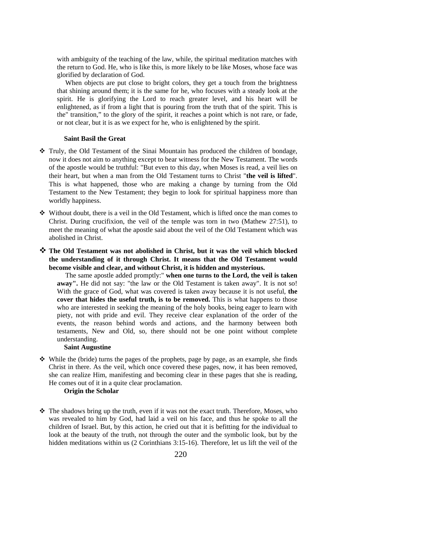with ambiguity of the teaching of the law, while, the spiritual meditation matches with the return to God. He, who is like this, is more likely to be like Moses, whose face was glorified by declaration of God.

When objects are put close to bright colors, they get a touch from the brightness that shining around them; it is the same for he, who focuses with a steady look at the spirit. He is glorifying the Lord to reach greater level, and his heart will be enlightened, as if from a light that is pouring from the truth that of the spirit. This is the" transition," to the glory of the spirit, it reaches a point which is not rare, or fade, or not clear, but it is as we expect for he, who is enlightened by the spirit.

#### **Saint Basil the Great**

- Truly, the Old Testament of the Sinai Mountain has produced the children of bondage, now it does not aim to anything except to bear witness for the New Testament. The words of the apostle would be truthful: "But even to this day, when Moses is read, a veil lies on their heart, but when a man from the Old Testament turns to Christ "**the veil is lifted**". This is what happened, those who are making a change by turning from the Old Testament to the New Testament; they begin to look for spiritual happiness more than worldly happiness.
- Without doubt, there is a veil in the Old Testament, which is lifted once the man comes to Christ. During crucifixion, the veil of the temple was torn in two (Mathew 27:51), to meet the meaning of what the apostle said about the veil of the Old Testament which was abolished in Christ.
- **The Old Testament was not abolished in Christ, but it was the veil which blocked the understanding of it through Christ. It means that the Old Testament would become visible and clear, and without Christ, it is hidden and mysterious.**

The same apostle added promptly:" **when one turns to the Lord, the veil is taken away".** He did not say: "the law or the Old Testament is taken away". It is not so! With the grace of God, what was covered is taken away because it is not useful, **the cover that hides the useful truth, is to be removed.** This is what happens to those who are interested in seeking the meaning of the holy books, being eager to learn with piety, not with pride and evil. They receive clear explanation of the order of the events, the reason behind words and actions, and the harmony between both testaments, New and Old, so, there should not be one point without complete understanding.

### **Saint Augustine**

 $\triangle$  While the (bride) turns the pages of the prophets, page by page, as an example, she finds Christ in there. As the veil, which once covered these pages, now, it has been removed, she can realize Him, manifesting and becoming clear in these pages that she is reading, He comes out of it in a quite clear proclamation.

### **Origin the Scholar**

 $\hat{\mathbf{v}}$  The shadows bring up the truth, even if it was not the exact truth. Therefore, Moses, who was revealed to him by God, had laid a veil on his face, and thus he spoke to all the children of Israel. But, by this action, he cried out that it is befitting for the individual to look at the beauty of the truth, not through the outer and the symbolic look, but by the hidden meditations within us (2 Corinthians 3:15-16). Therefore, let us lift the veil of the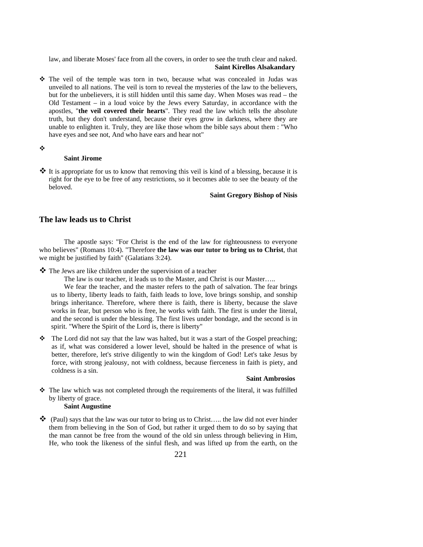law, and liberate Moses' face from all the covers, in order to see the truth clear and naked. **Saint Kirellos Alsakandary** 

- The veil of the temple was torn in two, because what was concealed in Judas was unveiled to all nations. The veil is torn to reveal the mysteries of the law to the believers, but for the unbelievers, it is still hidden until this same day. When Moses was read – the Old Testament – in a loud voice by the Jews every Saturday, in accordance with the apostles, "**the veil covered their hearts**". They read the law which tells the absolute truth, but they don't understand, because their eyes grow in darkness, where they are unable to enlighten it. Truly, they are like those whom the bible says about them : "Who have eyes and see not, And who have ears and hear not"
- ÷

#### **Saint Jirome**

 $\cdot \cdot$  It is appropriate for us to know that removing this veil is kind of a blessing, because it is right for the eye to be free of any restrictions, so it becomes able to see the beauty of the beloved.

### **Saint Gregory Bishop of Nisis**

### **The law leads us to Christ**

The apostle says: "For Christ is the end of the law for righteousness to everyone who believes" (Romans 10:4). "Therefore **the law was our tutor to bring us to Christ**, that we might be justified by faith" (Galatians 3:24).

The Jews are like children under the supervision of a teacher

The law is our teacher, it leads us to the Master, and Christ is our Master…..

We fear the teacher, and the master refers to the path of salvation. The fear brings us to liberty, liberty leads to faith, faith leads to love, love brings sonship, and sonship brings inheritance. Therefore, where there is faith, there is liberty, because the slave works in fear, but person who is free, he works with faith. The first is under the literal, and the second is under the blessing. The first lives under bondage, and the second is in spirit. "Where the Spirit of the Lord is, there is liberty"

\* The Lord did not say that the law was halted, but it was a start of the Gospel preaching; as if, what was considered a lower level, should be halted in the presence of what is better, therefore, let's strive diligently to win the kingdom of God! Let's take Jesus by force, with strong jealousy, not with coldness, because fierceness in faith is piety, and coldness is a sin.

#### **Saint Ambrosios**

 $\hat{\mathbf{v}}$  The law which was not completed through the requirements of the literal, it was fulfilled by liberty of grace.

### **Saint Augustine**

 $\clubsuit$  (Paul) says that the law was our tutor to bring us to Christ.... the law did not ever hinder them from believing in the Son of God, but rather it urged them to do so by saying that the man cannot be free from the wound of the old sin unless through believing in Him, He, who took the likeness of the sinful flesh, and was lifted up from the earth, on the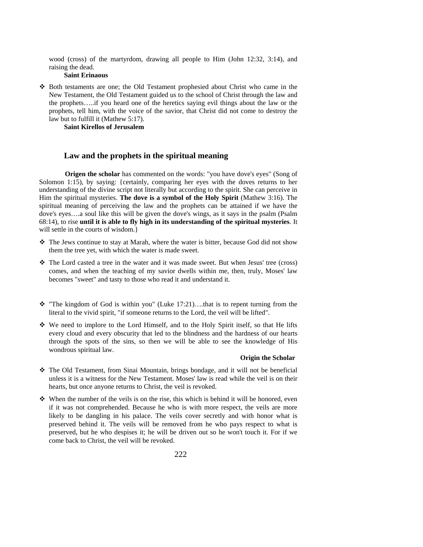wood (cross) of the martyrdom, drawing all people to Him (John 12:32, 3:14), and raising the dead.

#### **Saint Erinaous**

 Both testaments are one; the Old Testament prophesied about Christ who came in the New Testament, the Old Testament guided us to the school of Christ through the law and the prophets…..if you heard one of the heretics saying evil things about the law or the prophets, tell him, with the voice of the savior, that Christ did not come to destroy the law but to fulfill it (Mathew 5:17).

**Saint Kirellos of Jerusalem** 

### **Law and the prophets in the spiritual meaning**

**Origen the scholar** has commented on the words: "you have dove's eyes" (Song of Solomon 1:15), by saying: {certainly, comparing her eyes with the doves returns to her understanding of the divine script not literally but according to the spirit. She can perceive in Him the spiritual mysteries. **The dove is a symbol of the Holy Spirit** (Mathew 3:16). The spiritual meaning of perceiving the law and the prophets can be attained if we have the dove's eyes….a soul like this will be given the dove's wings, as it says in the psalm (Psalm 68:14), to rise **until it is able to fly high in its understanding of the spiritual mysteries**. It will settle in the courts of wisdom.

- $\hat{\mathbf{v}}$  The Jews continue to stay at Marah, where the water is bitter, because God did not show them the tree yet, with which the water is made sweet.
- $\div$  The Lord casted a tree in the water and it was made sweet. But when Jesus' tree (cross) comes, and when the teaching of my savior dwells within me, then, truly, Moses' law becomes "sweet" and tasty to those who read it and understand it.
- \* "The kingdom of God is within you" (Luke 17:21)....that is to repent turning from the literal to the vivid spirit, "if someone returns to the Lord, the veil will be lifted".
- We need to implore to the Lord Himself, and to the Holy Spirit itself, so that He lifts every cloud and every obscurity that led to the blindness and the hardness of our hearts through the spots of the sins, so then we will be able to see the knowledge of His wondrous spiritual law.

### **Origin the Scholar**

- The Old Testament, from Sinai Mountain, brings bondage, and it will not be beneficial unless it is a witness for the New Testament. Moses' law is read while the veil is on their hearts, but once anyone returns to Christ, the veil is revoked.
- $\mathbf{\hat{B}}$  When the number of the veils is on the rise, this which is behind it will be honored, even if it was not comprehended. Because he who is with more respect, the veils are more likely to be dangling in his palace. The veils cover secretly and with honor what is preserved behind it. The veils will be removed from he who pays respect to what is preserved, but he who despises it; he will be driven out so he won't touch it. For if we come back to Christ, the veil will be revoked.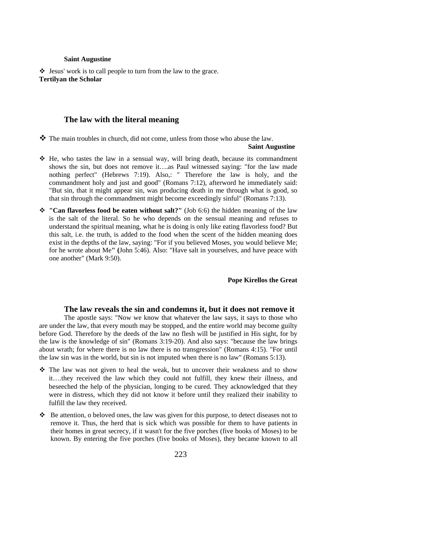#### **Saint Augustine**

 $\triangleleft$  Jesus' work is to call people to turn from the law to the grace. **Tertilyan the Scholar** 

### **The law with the literal meaning**

 $\mathbf{\hat{P}}$  The main troubles in church, did not come, unless from those who abuse the law.

#### **Saint Augustine**

- $\div$  He, who tastes the law in a sensual way, will bring death, because its commandment shows the sin, but does not remove it….as Paul witnessed saying: "for the law made nothing perfect" (Hebrews 7:19). Also,: " Therefore the law is holy, and the commandment holy and just and good" (Romans 7:12), afterword he immediately said: "But sin, that it might appear sin, was producing death in me through what is good, so that sin through the commandment might become exceedingly sinful" (Romans 7:13).
- **"Can flavorless food be eaten without salt?"** (Job 6:6) the hidden meaning of the law is the salt of the literal. So he who depends on the sensual meaning and refuses to understand the spiritual meaning, what he is doing is only like eating flavorless food? But this salt, i.e. the truth, is added to the food when the scent of the hidden meaning does exist in the depths of the law, saying: "For if you believed Moses, you would believe Me; for he wrote about Me**" (**John 5:46). Also: "Have salt in yourselves, and have peace with one another" (Mark 9:50).

#### **Pope Kirellos the Great**

#### **The law reveals the sin and condemns it, but it does not remove it**

The apostle says: "Now we know that whatever the law says, it says to those who are under the law, that every mouth may be stopped, and the entire world may become guilty before God. Therefore by the deeds of the law no flesh will be justified in His sight, for by the law is the knowledge of sin" (Romans 3:19-20). And also says: "because the law brings about wrath; for where there is no law there is no transgression" (Romans 4:15). "For until the law sin was in the world, but sin is not imputed when there is no law" (Romans 5:13).

- $\div$  The law was not given to heal the weak, but to uncover their weakness and to show it….they received the law which they could not fulfill, they knew their illness, and beseeched the help of the physician, longing to be cured. They acknowledged that they were in distress, which they did not know it before until they realized their inability to fulfill the law they received.
- $\bullet$  Be attention, o beloved ones, the law was given for this purpose, to detect diseases not to remove it. Thus, the herd that is sick which was possible for them to have patients in their homes in great secrecy, if it wasn't for the five porches (five books of Moses) to be known. By entering the five porches (five books of Moses), they became known to all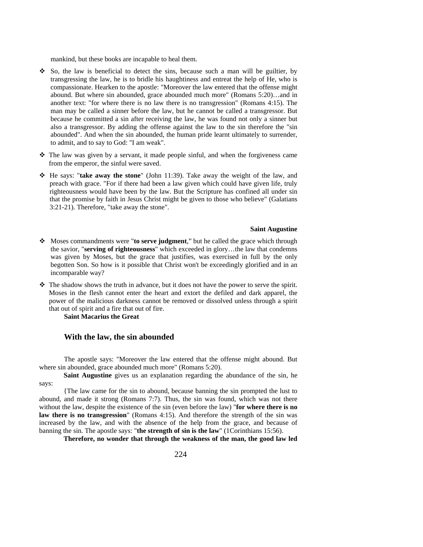mankind, but these books are incapable to heal them.

- $\div$  So, the law is beneficial to detect the sins, because such a man will be guiltier, by transgressing the law, he is to bridle his haughtiness and entreat the help of He, who is compassionate. Hearken to the apostle: "Moreover the law entered that the offense might abound. But where sin abounded, grace abounded much more" (Romans 5:20)…and in another text: "for where there is no law there is no transgression" (Romans 4:15). The man may be called a sinner before the law, but he cannot be called a transgressor. But because he committed a sin after receiving the law, he was found not only a sinner but also a transgressor. By adding the offense against the law to the sin therefore the "sin abounded". And when the sin abounded, the human pride learnt ultimately to surrender, to admit, and to say to God: "I am weak".
- The law was given by a servant, it made people sinful, and when the forgiveness came from the emperor, the sinful were saved.
- He says: "**take away the stone**" (John 11:39). Take away the weight of the law, and preach with grace. "For if there had been a law given which could have given life, truly righteousness would have been by the law. But the Scripture has confined all under sin that the promise by faith in Jesus Christ might be given to those who believe" (Galatians 3:21-21). Therefore, "take away the stone".

#### **Saint Augustine**

- Moses commandments were "**to serve judgment**," but he called the grace which through the savior, "**serving of righteousness**" which exceeded in glory…the law that condemns was given by Moses, but the grace that justifies, was exercised in full by the only begotten Son. So how is it possible that Christ won't be exceedingly glorified and in an incomparable way?
- $\triangleleft$ . The shadow shows the truth in advance, but it does not have the power to serve the spirit. Moses in the flesh cannot enter the heart and extort the defiled and dark apparel, the power of the malicious darkness cannot be removed or dissolved unless through a spirit that out of spirit and a fire that out of fire.

**Saint Macarius the Great** 

### **With the law, the sin abounded**

The apostle says: "Moreover the law entered that the offense might abound. But where sin abounded, grace abounded much more" (Romans 5:20).

**Saint Augustine** gives us an explanation regarding the abundance of the sin, he says:

{The law came for the sin to abound, because banning the sin prompted the lust to abound, and made it strong (Romans 7:7). Thus, the sin was found, which was not there without the law, despite the existence of the sin (even before the law) "**for where there is no law there is no transgression**" (Romans 4:15). And therefore the strength of the sin was increased by the law, and with the absence of the help from the grace, and because of banning the sin. The apostle says: "**the strength of sin is the law**" (1Corinthians 15:56).

**Therefore, no wonder that through the weakness of the man, the good law led**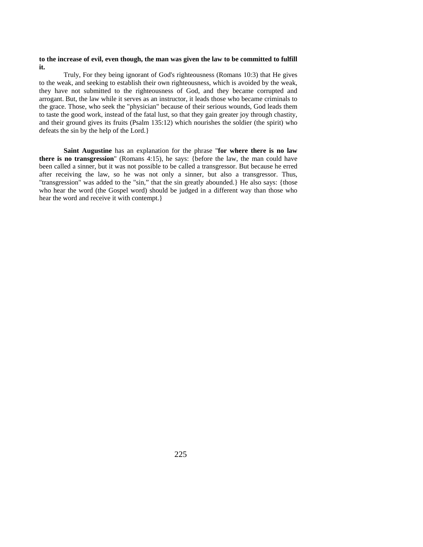#### **to the increase of evil, even though, the man was given the law to be committed to fulfill it.**

Truly, For they being ignorant of God's righteousness (Romans 10:3) that He gives to the weak, and seeking to establish their own righteousness, which is avoided by the weak, they have not submitted to the righteousness of God, and they became corrupted and arrogant. But, the law while it serves as an instructor, it leads those who became criminals to the grace. Those, who seek the "physician" because of their serious wounds, God leads them to taste the good work, instead of the fatal lust, so that they gain greater joy through chastity, and their ground gives its fruits (Psalm 135:12) which nourishes the soldier (the spirit) who defeats the sin by the help of the Lord.}

**Saint Augustine** has an explanation for the phrase "**for where there is no law there is no transgression**" (Romans 4:15), he says: {before the law, the man could have been called a sinner, but it was not possible to be called a transgressor. But because he erred after receiving the law, so he was not only a sinner, but also a transgressor. Thus, "transgression" was added to the "sin," that the sin greatly abounded.} He also says: {those who hear the word (the Gospel word) should be judged in a different way than those who hear the word and receive it with contempt.}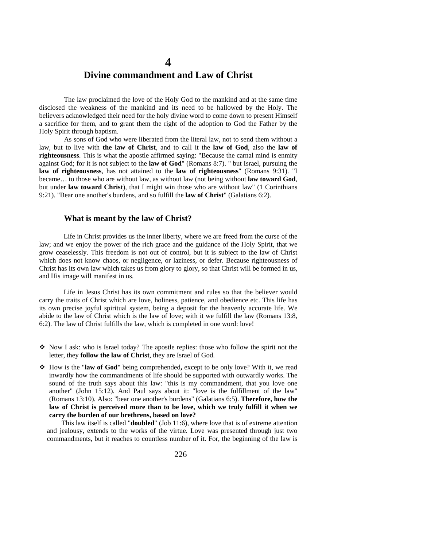## **4 Divine commandment and Law of Christ**

The law proclaimed the love of the Holy God to the mankind and at the same time disclosed the weakness of the mankind and its need to be hallowed by the Holy. The believers acknowledged their need for the holy divine word to come down to present Himself a sacrifice for them, and to grant them the right of the adoption to God the Father by the Holy Spirit through baptism.

As sons of God who were liberated from the literal law, not to send them without a law, but to live with **the law of Christ**, and to call it the **law of God**, also the **law of righteousness**. This is what the apostle affirmed saying: "Because the carnal mind is enmity against God; for it is not subject to the **law of God**" (Romans 8:7). " but Israel, pursuing the **law of righteousness**, has not attained to the **law of righteousness**" (Romans 9:31). "I became… to those who are without law, as without law (not being without **law toward God**, but under **law toward Christ**), that I might win those who are without law" (1 Corinthians 9:21). "Bear one another's burdens, and so fulfill the **law of Christ**" (Galatians 6:2).

#### **What is meant by the law of Christ?**

Life in Christ provides us the inner liberty, where we are freed from the curse of the law; and we enjoy the power of the rich grace and the guidance of the Holy Spirit, that we grow ceaselessly. This freedom is not out of control, but it is subject to the law of Christ which does not know chaos, or negligence, or laziness, or defer. Because righteousness of Christ has its own law which takes us from glory to glory, so that Christ will be formed in us, and His image will manifest in us.

Life in Jesus Christ has its own commitment and rules so that the believer would carry the traits of Christ which are love, holiness, patience, and obedience etc. This life has its own precise joyful spiritual system, being a deposit for the heavenly accurate life. We abide to the law of Christ which is the law of love; with it we fulfill the law (Romans 13:8, 6:2). The law of Christ fulfills the law, which is completed in one word: love!

- $\triangle$  Now I ask: who is Israel today? The apostle replies: those who follow the spirit not the letter, they **follow the law of Christ**, they are Israel of God.
- How is the "**law of God**" being comprehended**,** except to be only love? With it, we read inwardly how the commandments of life should be supported with outwardly works. The sound of the truth says about this law: "this is my commandment, that you love one another" (John 15:12). And Paul says about it: "love is the fulfillment of the law" (Romans 13:10). Also: "bear one another's burdens" (Galatians 6:5). **Therefore, how the law of Christ is perceived more than to be love, which we truly fulfill it when we carry the burden of our brethrens, based on love?**

This law itself is called "**doubled**" (Job 11:6), where love that is of extreme attention and jealousy, extends to the works of the virtue. Love was presented through just two commandments, but it reaches to countless number of it. For, the beginning of the law is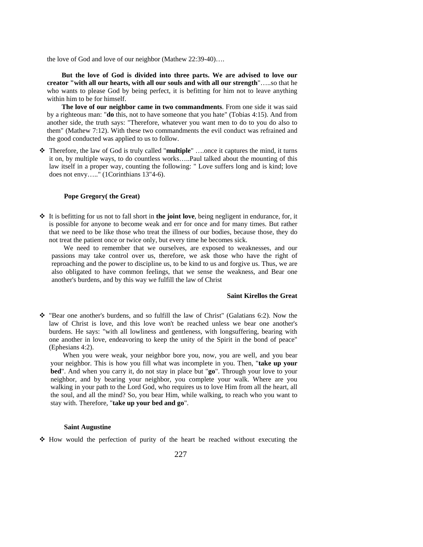the love of God and love of our neighbor (Mathew 22:39-40)….

**But the love of God is divided into three parts. We are advised to love our creator "with all our hearts, with all our souls and with all our strength**"…..so that he who wants to please God by being perfect, it is befitting for him not to leave anything within him to be for himself.

**The love of our neighbor came in two commandments**. From one side it was said by a righteous man: "**do** this, not to have someone that you hate" (Tobias 4:15). And from another side, the truth says: "Therefore, whatever you want men to do to you do also to them" (Mathew 7:12). With these two commandments the evil conduct was refrained and the good conducted was applied to us to follow.

 Therefore, the law of God is truly called "**multiple**" ….once it captures the mind, it turns it on, by multiple ways, to do countless works…..Paul talked about the mounting of this law itself in a proper way, counting the following: " Love suffers long and is kind; love does not envy….." (1Corinthians 13"4-6).

#### **Pope Gregory( the Great)**

 It is befitting for us not to fall short in **the joint love**, being negligent in endurance, for, it is possible for anyone to become weak and err for once and for many times. But rather that we need to be like those who treat the illness of our bodies, because those, they do not treat the patient once or twice only, but every time he becomes sick.

We need to remember that we ourselves, are exposed to weaknesses, and our passions may take control over us, therefore, we ask those who have the right of reproaching and the power to discipline us, to be kind to us and forgive us. Thus, we are also obligated to have common feelings, that we sense the weakness, and Bear one another's burdens, and by this way we fulfill the law of Christ

### **Saint Kirellos the Great**

 $\hat{\mathbf{v}}$  "Bear one another's burdens, and so fulfill the law of Christ" (Galatians 6:2). Now the law of Christ is love, and this love won't be reached unless we bear one another's burdens. He says: "with all lowliness and gentleness, with longsuffering, bearing with one another in love, endeavoring to keep the unity of the Spirit in the bond of peace" (Ephesians 4:2).

When you were weak, your neighbor bore you, now, you are well, and you bear your neighbor. This is how you fill what was incomplete in you. Then, "**take up your bed**". And when you carry it, do not stay in place but "**go**". Through your love to your neighbor, and by bearing your neighbor, you complete your walk. Where are you walking in your path to the Lord God, who requires us to love Him from all the heart, all the soul, and all the mind? So, you bear Him, while walking, to reach who you want to stay with. Therefore, "**take up your bed and go**".

#### **Saint Augustine**

 $\div$  How would the perfection of purity of the heart be reached without executing the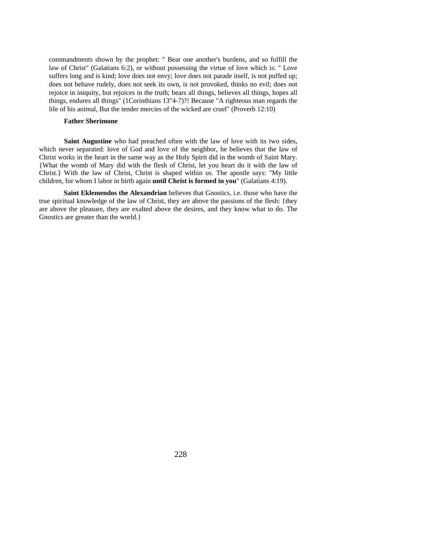commandments shown by the prophet: " Bear one another's burdens, and so fulfill the law of Christ" (Galatians 6:2), or without possessing the virtue of love which is: " Love suffers long and is kind; love does not envy; love does not parade itself, is not puffed up; does not behave rudely, does not seek its own, is not provoked, thinks no evil; does not rejoice in iniquity, but rejoices in the truth; bears all things, believes all things, hopes all things, endures all things" (1Corinthians 13"4-7)?! Because "A righteous man regards the life of his animal, But the tender mercies of the wicked are cruel" (Proverb 12:10)

### **Father Sherimone**

**Saint Augustine** who had preached often with the law of love with its two sides, which never separated: love of God and love of the neighbor, he believes that the law of Christ works in the heart in the same way as the Holy Spirit did in the womb of Saint Mary. {What the womb of Mary did with the flesh of Christ, let you heart do it with the law of Christ.} With the law of Christ, Christ is shaped within us. The apostle says: "My little children, for whom I labor in birth again **until Christ is formed in you**" (Galatians 4:19).

**Saint Eklemendos the Alexandrian** believes that Gnostics, i.e. those who have the true spiritual knowledge of the law of Christ, they are above the passions of the flesh: {they are above the pleasure, they are exalted above the desires, and they know what to do. The Gnostics are greater than the world.}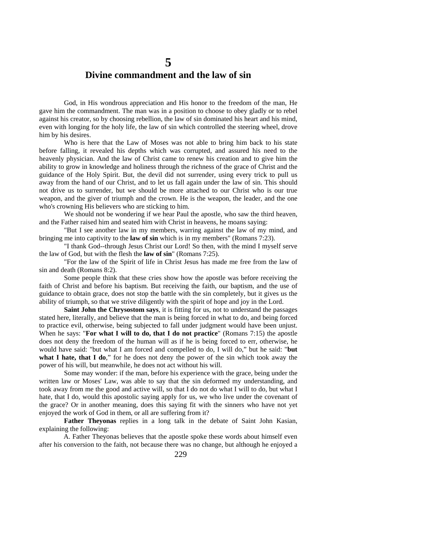## **5 Divine commandment and the law of sin**

God, in His wondrous appreciation and His honor to the freedom of the man, He gave him the commandment. The man was in a position to choose to obey gladly or to rebel against his creator, so by choosing rebellion, the law of sin dominated his heart and his mind, even with longing for the holy life, the law of sin which controlled the steering wheel, drove him by his desires.

Who is here that the Law of Moses was not able to bring him back to his state before falling, it revealed his depths which was corrupted, and assured his need to the heavenly physician. And the law of Christ came to renew his creation and to give him the ability to grow in knowledge and holiness through the richness of the grace of Christ and the guidance of the Holy Spirit. But, the devil did not surrender, using every trick to pull us away from the hand of our Christ, and to let us fall again under the law of sin. This should not drive us to surrender, but we should be more attached to our Christ who is our true weapon, and the giver of triumph and the crown. He is the weapon, the leader, and the one who's crowning His believers who are sticking to him.

We should not be wondering if we hear Paul the apostle, who saw the third heaven, and the Father raised him and seated him with Christ in heavens, he moans saying:

"But I see another law in my members, warring against the law of my mind, and bringing me into captivity to the **law of sin** which is in my members" (Romans 7:23).

"I thank God--through Jesus Christ our Lord! So then, with the mind I myself serve the law of God, but with the flesh the **law of sin**" (Romans 7:25).

"For the law of the Spirit of life in Christ Jesus has made me free from the law of sin and death (Romans 8:2).

Some people think that these cries show how the apostle was before receiving the faith of Christ and before his baptism. But receiving the faith, our baptism, and the use of guidance to obtain grace, does not stop the battle with the sin completely, but it gives us the ability of triumph, so that we strive diligently with the spirit of hope and joy in the Lord.

**Saint John the Chrysostom says**, it is fitting for us, not to understand the passages stated here, literally, and believe that the man is being forced in what to do, and being forced to practice evil, otherwise, being subjected to fall under judgment would have been unjust. When he says: "**For what I will to do, that I do not practice**" (Romans 7:15) the apostle does not deny the freedom of the human will as if he is being forced to err, otherwise, he would have said: "but what I am forced and compelled to do, I will do," but he said: "**but what I hate, that I do**," for he does not deny the power of the sin which took away the power of his will, but meanwhile, he does not act without his will.

Some may wonder: if the man, before his experience with the grace, being under the written law or Moses' Law, was able to say that the sin deformed my understanding, and took away from me the good and active will, so that I do not do what I will to do, but what I hate, that I do, would this apostolic saying apply for us, we who live under the covenant of the grace? Or in another meaning, does this saying fit with the sinners who have not yet enjoyed the work of God in them, or all are suffering from it?

**Father Theyonas** replies in a long talk in the debate of Saint John Kasian, explaining the following:

A. Father Theyonas believes that the apostle spoke these words about himself even after his conversion to the faith, not because there was no change, but although he enjoyed a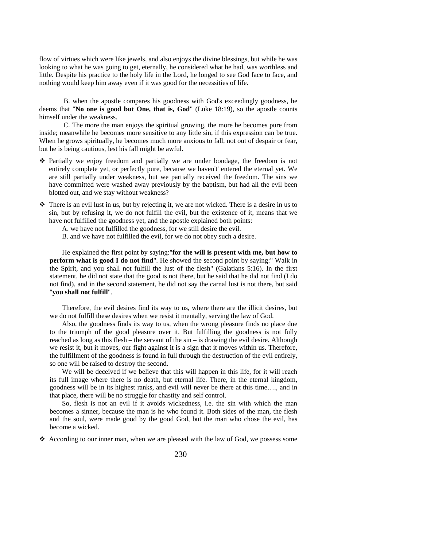flow of virtues which were like jewels, and also enjoys the divine blessings, but while he was looking to what he was going to get, eternally, he considered what he had, was worthless and little. Despite his practice to the holy life in the Lord, he longed to see God face to face, and nothing would keep him away even if it was good for the necessities of life.

B. when the apostle compares his goodness with God's exceedingly goodness, he deems that "**No one is good but One, that is, God**" (Luke 18:19), so the apostle counts himself under the weakness.

C. The more the man enjoys the spiritual growing, the more he becomes pure from inside; meanwhile he becomes more sensitive to any little sin, if this expression can be true. When he grows spiritually, he becomes much more anxious to fall, not out of despair or fear, but he is being cautious, lest his fall might be awful.

- Partially we enjoy freedom and partially we are under bondage, the freedom is not entirely complete yet, or perfectly pure, because we haven't' entered the eternal yet. We are still partially under weakness, but we partially received the freedom. The sins we have committed were washed away previously by the baptism, but had all the evil been blotted out, and we stay without weakness?
- There is an evil lust in us, but by rejecting it, we are not wicked. There is a desire in us to sin, but by refusing it, we do not fulfill the evil, but the existence of it, means that we have not fulfilled the goodness yet, and the apostle explained both points:

A. we have not fulfilled the goodness, for we still desire the evil.

B. and we have not fulfilled the evil, for we do not obey such a desire.

He explained the first point by saying:"**for the will is present with me, but how to perform what is good I do not find**". He showed the second point by saying:" Walk in the Spirit, and you shall not fulfill the lust of the flesh" (Galatians 5:16). In the first statement, he did not state that the good is not there, but he said that he did not find (I do not find), and in the second statement, he did not say the carnal lust is not there, but said "**you shall not fulfill**".

Therefore, the evil desires find its way to us, where there are the illicit desires, but we do not fulfill these desires when we resist it mentally, serving the law of God.

Also, the goodness finds its way to us, when the wrong pleasure finds no place due to the triumph of the good pleasure over it. But fulfilling the goodness is not fully reached as long as this flesh – the servant of the sin – is drawing the evil desire. Although we resist it, but it moves, our fight against it is a sign that it moves within us. Therefore, the fulfillment of the goodness is found in full through the destruction of the evil entirely, so one will be raised to destroy the second.

We will be deceived if we believe that this will happen in this life, for it will reach its full image where there is no death, but eternal life. There, in the eternal kingdom, goodness will be in its highest ranks, and evil will never be there at this time…., and in that place, there will be no struggle for chastity and self control.

So, flesh is not an evil if it avoids wickedness, i.e. the sin with which the man becomes a sinner, because the man is he who found it. Both sides of the man, the flesh and the soul, were made good by the good God, but the man who chose the evil, has become a wicked.

 $\triangle$  According to our inner man, when we are pleased with the law of God, we possess some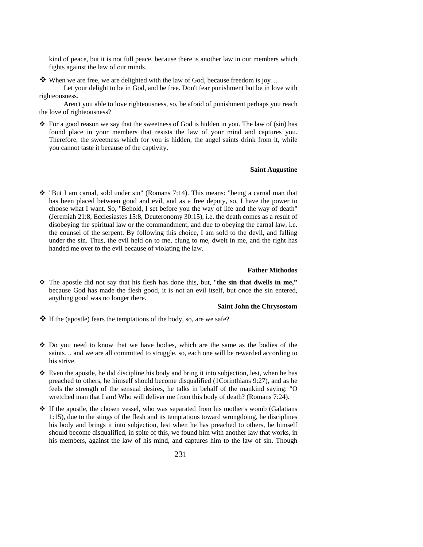kind of peace, but it is not full peace, because there is another law in our members which fights against the law of our minds.

When we are free, we are delighted with the law of God, because freedom is joy...

Let your delight to be in God, and be free. Don't fear punishment but be in love with righteousness.

Aren't you able to love righteousness, so, be afraid of punishment perhaps you reach the love of righteousness?

 $\div$  For a good reason we say that the sweetness of God is hidden in you. The law of (sin) has found place in your members that resists the law of your mind and captures you. Therefore, the sweetness which for you is hidden, the angel saints drink from it, while you cannot taste it because of the captivity.

#### **Saint Augustine**

 $\div$  "But I am carnal, sold under sin" (Romans 7:14). This means: "being a carnal man that has been placed between good and evil, and as a free deputy, so, I have the power to choose what I want. So, "Behold, I set before you the way of life and the way of death" (Jeremiah 21:8, Ecclesiastes 15:8, Deuteronomy 30:15), i.e. the death comes as a result of disobeying the spiritual law or the commandment, and due to obeying the carnal law, i.e. the counsel of the serpent. By following this choice, I am sold to the devil, and falling under the sin. Thus, the evil held on to me, clung to me, dwelt in me, and the right has handed me over to the evil because of violating the law.

### **Father Mithodos**

 The apostle did not say that his flesh has done this, but, "**the sin that dwells in me,"**  because God has made the flesh good, it is not an evil itself, but once the sin entered, anything good was no longer there.

#### **Saint John the Chrysostom**

- $\triangleleft$  If the (apostle) fears the temptations of the body, so, are we safe?
- Do you need to know that we have bodies, which are the same as the bodies of the saints… and we are all committed to struggle, so, each one will be rewarded according to his strive.
- $\div$  Even the apostle, he did discipline his body and bring it into subjection, lest, when he has preached to others, he himself should become disqualified (1Corinthians 9:27), and as he feels the strength of the sensual desires, he talks in behalf of the mankind saying: "O wretched man that I am! Who will deliver me from this body of death? (Romans 7:24).
- $\hat{P}$  If the apostle, the chosen vessel, who was separated from his mother's womb (Galatians 1:15), due to the stings of the flesh and its temptations toward wrongdoing, he disciplines his body and brings it into subjection, lest when he has preached to others, he himself should become disqualified, in spite of this, we found him with another law that works, in his members, against the law of his mind, and captures him to the law of sin. Though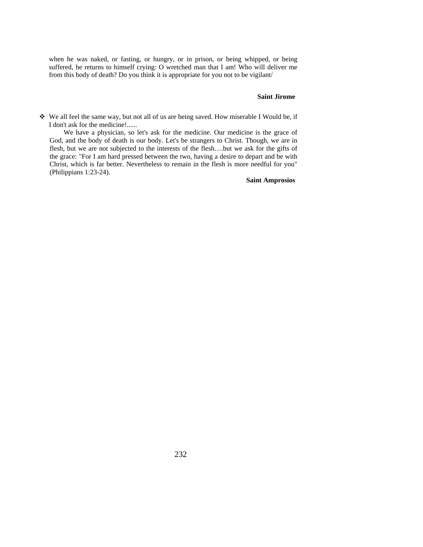when he was naked, or fasting, or hungry, or in prison, or being whipped, or being suffered, he returns to himself crying: O wretched man that I am! Who will deliver me from this body of death? Do you think it is appropriate for you not to be vigilant/

#### **Saint Jirome**

 We all feel the same way, but not all of us are being saved. How miserable I Would be, if I don't ask for the medicine!......

We have a physician, so let's ask for the medicine. Our medicine is the grace of God, and the body of death is our body. Let's be strangers to Christ. Though, we are in flesh, but we are not subjected to the interests of the flesh….but we ask for the gifts of the grace: "For I am hard pressed between the two, having a desire to depart and be with Christ, which is far better. Nevertheless to remain in the flesh is more needful for you" (Philippians 1:23-24).

#### **Saint Amprosios**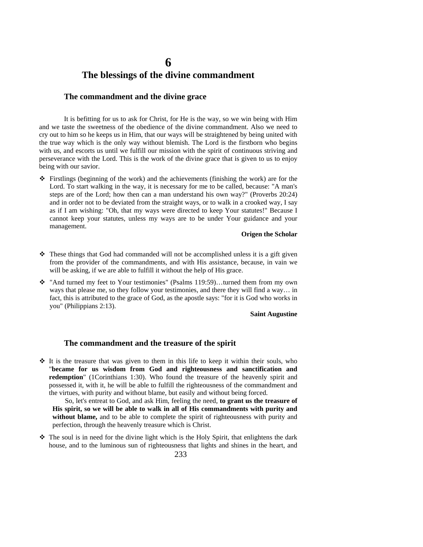## **6 The blessings of the divine commandment**

### **The commandment and the divine grace**

It is befitting for us to ask for Christ, for He is the way, so we win being with Him and we taste the sweetness of the obedience of the divine commandment. Also we need to cry out to him so he keeps us in Him, that our ways will be straightened by being united with the true way which is the only way without blemish. The Lord is the firstborn who begins with us, and escorts us until we fulfill our mission with the spirit of continuous striving and perseverance with the Lord. This is the work of the divine grace that is given to us to enjoy being with our savior.

 $\hat{\mathbf{v}}$  Firstlings (beginning of the work) and the achievements (finishing the work) are for the Lord. To start walking in the way, it is necessary for me to be called, because: "A man's steps are of the Lord; how then can a man understand his own way?" (Proverbs 20:24) and in order not to be deviated from the straight ways, or to walk in a crooked way, I say as if I am wishing: "Oh, that my ways were directed to keep Your statutes!" Because I cannot keep your statutes, unless my ways are to be under Your guidance and your management.

#### **Origen the Scholar**

- $\hat{\cdot}$  These things that God had commanded will not be accomplished unless it is a gift given from the provider of the commandments, and with His assistance, because, in vain we will be asking, if we are able to fulfill it without the help of His grace.
- $\dots$  "And turned my feet to Your testimonies" (Psalms 119:59)...turned them from my own ways that please me, so they follow your testimonies, and there they will find a way… in fact, this is attributed to the grace of God, as the apostle says: "for it is God who works in you" (Philippians 2:13).

#### **Saint Augustine**

### **The commandment and the treasure of the spirit**

 $\hat{P}$  It is the treasure that was given to them in this life to keep it within their souls, who "**became for us wisdom from God and righteousness and sanctification and redemption**" (1Corinthians 1:30). Who found the treasure of the heavenly spirit and possessed it, with it, he will be able to fulfill the righteousness of the commandment and the virtues, with purity and without blame, but easily and without being forced.

So, let's entreat to God, and ask Him, feeling the need, **to grant us the treasure of His spirit, so we will be able to walk in all of His commandments with purity and without blame,** and to be able to complete the spirit of righteousness with purity and perfection, through the heavenly treasure which is Christ.

 $\hat{\mathbf{v}}$  The soul is in need for the divine light which is the Holy Spirit, that enlightens the dark house, and to the luminous sun of righteousness that lights and shines in the heart, and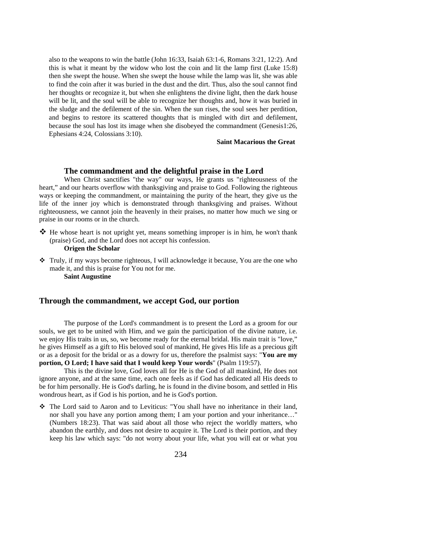also to the weapons to win the battle (John 16:33, Isaiah 63:1-6, Romans 3:21, 12:2). And this is what it meant by the widow who lost the coin and lit the lamp first (Luke 15:8) then she swept the house. When she swept the house while the lamp was lit, she was able to find the coin after it was buried in the dust and the dirt. Thus, also the soul cannot find her thoughts or recognize it, but when she enlightens the divine light, then the dark house will be lit, and the soul will be able to recognize her thoughts and, how it was buried in the sludge and the defilement of the sin. When the sun rises, the soul sees her perdition, and begins to restore its scattered thoughts that is mingled with dirt and defilement, because the soul has lost its image when she disobeyed the commandment (Genesis1:26, Ephesians 4:24, Colossians 3:10).

**Saint Macarious the Great**

#### **The commandment and the delightful praise in the Lord**

When Christ sanctifies "the way" our ways, He grants us "righteousness of the heart," and our hearts overflow with thanksgiving and praise to God. Following the righteous ways or keeping the commandment, or maintaining the purity of the heart, they give us the life of the inner joy which is demonstrated through thanksgiving and praises. Without righteousness, we cannot join the heavenly in their praises, no matter how much we sing or praise in our rooms or in the church.

 $\clubsuit$  He whose heart is not upright yet, means something improper is in him, he won't thank (praise) God, and the Lord does not accept his confession.

### **Origen the Scholar**

 $\mathbf{\hat{P}}$  Truly, if my ways become righteous, I will acknowledge it because, You are the one who made it, and this is praise for You not for me. **Saint Augustine** 

### **Through the commandment, we accept God, our portion**

The purpose of the Lord's commandment is to present the Lord as a groom for our souls, we get to be united with Him, and we gain the participation of the divine nature, i.e. we enjoy His traits in us, so, we become ready for the eternal bridal. His main trait is "love," he gives Himself as a gift to His beloved soul of mankind, He gives His life as a precious gift or as a deposit for the bridal or as a dowry for us, therefore the psalmist says: "**You are my portion, O Lord; I have said that I would keep Your words**" (Psalm 119:57).

This is the divine love, God loves all for He is the God of all mankind, He does not ignore anyone, and at the same time, each one feels as if God has dedicated all His deeds to be for him personally. He is God's darling, he is found in the divine bosom, and settled in His wondrous heart, as if God is his portion, and he is God's portion.

 The Lord said to Aaron and to Leviticus: "You shall have no inheritance in their land, nor shall you have any portion among them; I am your portion and your inheritance…" (Numbers 18:23). That was said about all those who reject the worldly matters, who abandon the earthly, and does not desire to acquire it. The Lord is their portion, and they keep his law which says: "do not worry about your life, what you will eat or what you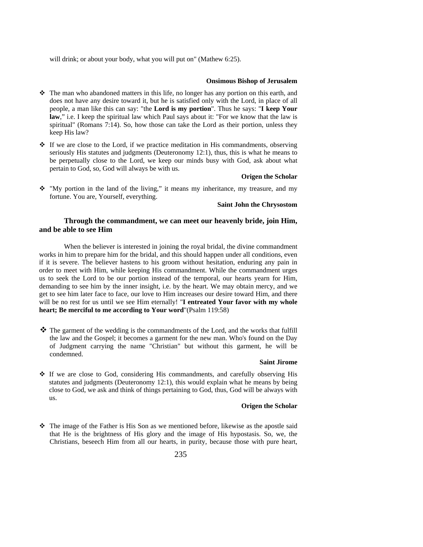will drink; or about your body, what you will put on" (Mathew 6:25).

#### **Onsimous Bishop of Jerusalem**

- $\hat{\mathbf{\cdot}}$  The man who abandoned matters in this life, no longer has any portion on this earth, and does not have any desire toward it, but he is satisfied only with the Lord, in place of all people, a man like this can say: "the **Lord is my portion**". Thus he says: "**I keep Your law**," i.e. I keep the spiritual law which Paul says about it: "For we know that the law is spiritual" (Romans 7:14). So, how those can take the Lord as their portion, unless they keep His law?
- If we are close to the Lord, if we practice meditation in His commandments, observing seriously His statutes and judgments (Deuteronomy 12:1), thus, this is what he means to be perpetually close to the Lord, we keep our minds busy with God, ask about what pertain to God, so, God will always be with us.

#### **Origen the Scholar**

 $\hat{\mathbf{v}}$  "My portion in the land of the living," it means my inheritance, my treasure, and my fortune. You are, Yourself, everything.

#### **Saint John the Chrysostom**

### **Through the commandment, we can meet our heavenly bride, join Him, and be able to see Him**

When the believer is interested in joining the royal bridal, the divine commandment works in him to prepare him for the bridal, and this should happen under all conditions, even if it is severe. The believer hastens to his groom without hesitation, enduring any pain in order to meet with Him, while keeping His commandment. While the commandment urges us to seek the Lord to be our portion instead of the temporal, our hearts yearn for Him, demanding to see him by the inner insight, i.e. by the heart. We may obtain mercy, and we get to see him later face to face, our love to Him increases our desire toward Him, and there will be no rest for us until we see Him eternally! "**I entreated Your favor with my whole heart; Be merciful to me according to Your word**"(Psalm 119:58)

 The garment of the wedding is the commandments of the Lord, and the works that fulfill the law and the Gospel; it becomes a garment for the new man. Who's found on the Day of Judgment carrying the name "Christian" but without this garment, he will be condemned.

#### **Saint Jirome**

 $\div$  If we are close to God, considering His commandments, and carefully observing His statutes and judgments (Deuteronomy 12:1), this would explain what he means by being close to God, we ask and think of things pertaining to God, thus, God will be always with us.

### **Origen the Scholar**

 $\hat{\cdot}$  The image of the Father is His Son as we mentioned before, likewise as the apostle said that He is the brightness of His glory and the image of His hypostasis. So, we, the Christians, beseech Him from all our hearts, in purity, because those with pure heart,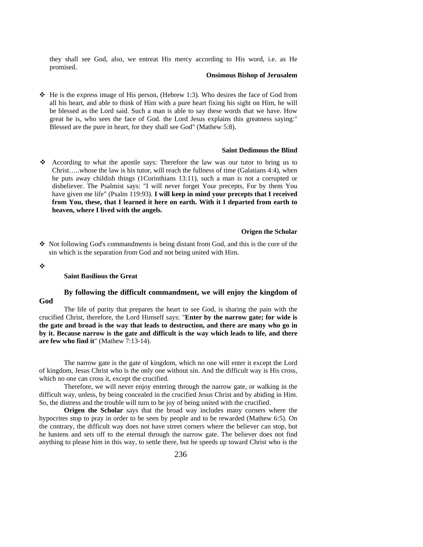they shall see God, also, we entreat His mercy according to His word, i.e. as He promised.

#### **Onsimous Bishop of Jerusalem**

 $\div$  He is the express image of His person, (Hebrew 1:3). Who desires the face of God from all his heart, and able to think of Him with a pure heart fixing his sight on Him, he will be blessed as the Lord said. Such a man is able to say these words that we have. How great he is, who sees the face of God. the Lord Jesus explains this greatness saying:" Blessed are the pure in heart, for they shall see God" (Mathew 5:8).

#### **Saint Dedimous the Blind**

According to what the apostle says: Therefore the law was our tutor to bring us to Christ…..whose the law is his tutor, will reach the fullness of time (Galatians 4:4), when he puts away childish things (1Corinthians 13:11), such a man is not a corrupted or disbeliever. The Psalmist says: "I will never forget Your precepts, For by them You have given me life" (Psalm 119:93). **I will keep in mind your precepts that I received from You, these, that I learned it here on earth. With it I departed from earth to heaven, where I lived with the angels.**

### **Origen the Scholar**

- $\triangle$  Not following God's commandments is being distant from God, and this is the core of the sin which is the separation from God and not being united with Him.
- ❖

#### **Saint Basilious the Great**

### **By following the difficult commandment, we will enjoy the kingdom of God**

The life of purity that prepares the heart to see God, is sharing the pain with the crucified Christ, therefore, the Lord Himself says: "**Enter by the narrow gate; for wide is the gate and broad is the way that leads to destruction, and there are many who go in by it. Because narrow is the gate and difficult is the way which leads to life, and there are few who find it**" (Mathew 7:13-14).

The narrow gate is the gate of kingdom, which no one will enter it except the Lord of kingdom, Jesus Christ who is the only one without sin. And the difficult way is His cross, which no one can cross it, except the crucified.

Therefore, we will never enjoy entering through the narrow gate, or walking in the difficult way, unless, by being concealed in the crucified Jesus Christ and by abiding in Him. So, the distress and the trouble will turn to be joy of being united with the crucified.

**Origen the Scholar** says that the broad way includes many corners where the hypocrites stop to pray in order to be seen by people and to be rewarded (Mathew 6:5). On the contrary, the difficult way does not have street corners where the believer can stop, but he hastens and sets off to the eternal through the narrow gate. The believer does not find anything to please him in this way, to settle there, but he speeds up toward Christ who is the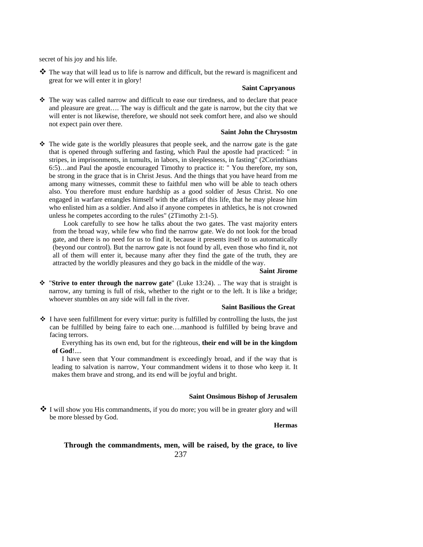secret of his joy and his life.

 The way that will lead us to life is narrow and difficult, but the reward is magnificent and great for we will enter it in glory!

### **Saint Capryanous**

 The way was called narrow and difficult to ease our tiredness, and to declare that peace and pleasure are great…. The way is difficult and the gate is narrow, but the city that we will enter is not likewise, therefore, we should not seek comfort here, and also we should not expect pain over there.

#### **Saint John the Chrysostm**

 $\hat{\mathbf{v}}$  The wide gate is the worldly pleasures that people seek, and the narrow gate is the gate that is opened through suffering and fasting, which Paul the apostle had practiced: " in stripes, in imprisonments, in tumults, in labors, in sleeplessness, in fasting" (2Corinthians 6:5)…and Paul the apostle encouraged Timothy to practice it: " You therefore, my son, be strong in the grace that is in Christ Jesus. And the things that you have heard from me among many witnesses, commit these to faithful men who will be able to teach others also. You therefore must endure hardship as a good soldier of Jesus Christ. No one engaged in warfare entangles himself with the affairs of this life, that he may please him who enlisted him as a soldier. And also if anyone competes in athletics, he is not crowned unless he competes according to the rules" (2Timothy 2:1-5).

Look carefully to see how he talks about the two gates. The vast majority enters from the broad way, while few who find the narrow gate. We do not look for the broad gate, and there is no need for us to find it, because it presents itself to us automatically (beyond our control). But the narrow gate is not found by all, even those who find it, not all of them will enter it, because many after they find the gate of the truth, they are attracted by the worldly pleasures and they go back in the middle of the way.

#### **Saint Jirome**

 "**Strive to enter through the narrow gate**" (Luke 13:24). .. The way that is straight is narrow, any turning is full of risk, whether to the right or to the left. It is like a bridge; whoever stumbles on any side will fall in the river.

### **Saint Basilious the Great**

 $\cdot \cdot$  I have seen fulfillment for every virtue: purity is fulfilled by controlling the lusts, the just can be fulfilled by being faire to each one….manhood is fulfilled by being brave and facing terrors.

Everything has its own end, but for the righteous, **their end will be in the kingdom of God**!....

I have seen that Your commandment is exceedingly broad, and if the way that is leading to salvation is narrow, Your commandment widens it to those who keep it. It makes them brave and strong, and its end will be joyful and bright.

#### **Saint Onsimous Bishop of Jerusalem**

 I will show you His commandments, if you do more; you will be in greater glory and will be more blessed by God.

**Hermas**

### 237 **Through the commandments, men, will be raised, by the grace, to live**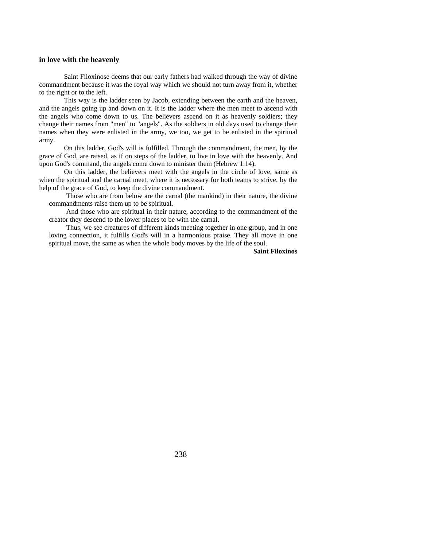#### **in love with the heavenly**

Saint Filoxinose deems that our early fathers had walked through the way of divine commandment because it was the royal way which we should not turn away from it, whether to the right or to the left.

This way is the ladder seen by Jacob, extending between the earth and the heaven, and the angels going up and down on it. It is the ladder where the men meet to ascend with the angels who come down to us. The believers ascend on it as heavenly soldiers; they change their names from "men" to "angels". As the soldiers in old days used to change their names when they were enlisted in the army, we too, we get to be enlisted in the spiritual army.

On this ladder, God's will is fulfilled. Through the commandment, the men, by the grace of God, are raised, as if on steps of the ladder, to live in love with the heavenly. And upon God's command, the angels come down to minister them (Hebrew 1:14).

On this ladder, the believers meet with the angels in the circle of love, same as when the spiritual and the carnal meet, where it is necessary for both teams to strive, by the help of the grace of God, to keep the divine commandment.

Those who are from below are the carnal (the mankind) in their nature, the divine commandments raise them up to be spiritual.

And those who are spiritual in their nature, according to the commandment of the creator they descend to the lower places to be with the carnal.

Thus, we see creatures of different kinds meeting together in one group, and in one loving connection, it fulfills God's will in a harmonious praise. They all move in one spiritual move, the same as when the whole body moves by the life of the soul.

**Saint Filoxinos**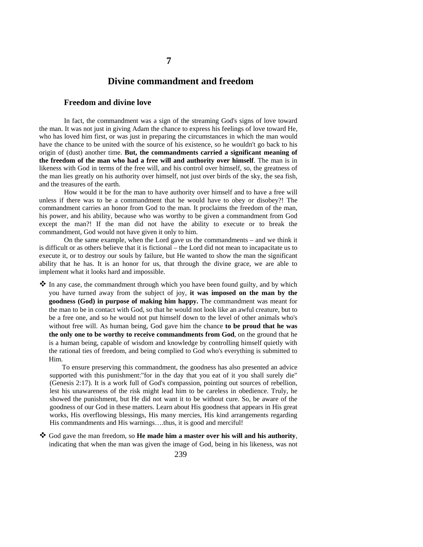### **Divine commandment and freedom**

**7**

### **Freedom and divine love**

In fact, the commandment was a sign of the streaming God's signs of love toward the man. It was not just in giving Adam the chance to express his feelings of love toward He, who has loved him first, or was just in preparing the circumstances in which the man would have the chance to be united with the source of his existence, so he wouldn't go back to his origin of (dust) another time. **But, the commandments carried a significant meaning of the freedom of the man who had a free will and authority over himself**. The man is in likeness with God in terms of the free will, and his control over himself, so, the greatness of the man lies greatly on his authority over himself, not just over birds of the sky, the sea fish, and the treasures of the earth.

How would it be for the man to have authority over himself and to have a free will unless if there was to be a commandment that he would have to obey or disobey?! The commandment carries an honor from God to the man. It proclaims the freedom of the man, his power, and his ability, because who was worthy to be given a commandment from God except the man?! If the man did not have the ability to execute or to break the commandment, God would not have given it only to him.

On the same example, when the Lord gave us the commandments – and we think it is difficult or as others believe that it is fictional – the Lord did not mean to incapacitate us to execute it, or to destroy our souls by failure, but He wanted to show the man the significant ability that he has. It is an honor for us, that through the divine grace, we are able to implement what it looks hard and impossible.

 In any case, the commandment through which you have been found guilty, and by which you have turned away from the subject of joy, **it was imposed on the man by the goodness (God) in purpose of making him happy.** The commandment was meant for the man to be in contact with God, so that he would not look like an awful creature, but to be a free one, and so he would not put himself down to the level of other animals who's without free will. As human being, God gave him the chance **to be proud that he was the only one to be worthy to receive commandments from God**, on the ground that he is a human being, capable of wisdom and knowledge by controlling himself quietly with the rational ties of freedom, and being complied to God who's everything is submitted to Him.

To ensure preserving this commandment, the goodness has also presented an advice supported with this punishment:"for in the day that you eat of it you shall surely die" (Genesis 2:17). It is a work full of God's compassion, pointing out sources of rebellion, lest his unawareness of the risk might lead him to be careless in obedience. Truly, he showed the punishment, but He did not want it to be without cure. So, be aware of the goodness of our God in these matters. Learn about His goodness that appears in His great works, His overflowing blessings, His many mercies, His kind arrangements regarding His commandments and His warnings….thus, it is good and merciful!

 God gave the man freedom, so **He made him a master over his will and his authority**, indicating that when the man was given the image of God, being in his likeness, was not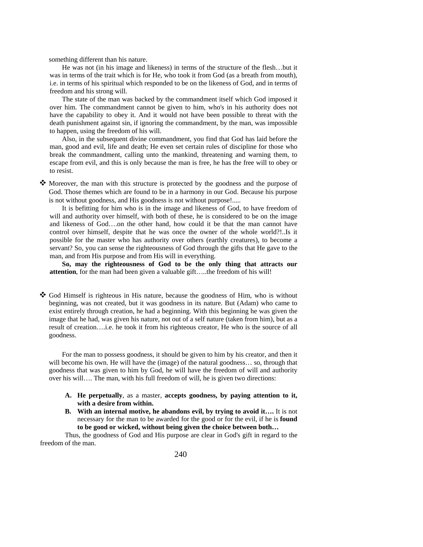something different than his nature.

He was not (in his image and likeness) in terms of the structure of the flesh…but it was in terms of the trait which is for He, who took it from God (as a breath from mouth), i.e. in terms of his spiritual which responded to be on the likeness of God, and in terms of freedom and his strong will.

The state of the man was backed by the commandment itself which God imposed it over him. The commandment cannot be given to him, who's in his authority does not have the capability to obey it. And it would not have been possible to threat with the death punishment against sin, if ignoring the commandment, by the man, was impossible to happen, using the freedom of his will.

Also, in the subsequent divine commandment, you find that God has laid before the man, good and evil, life and death; He even set certain rules of discipline for those who break the commandment, calling unto the mankind, threatening and warning them, to escape from evil, and this is only because the man is free, he has the free will to obey or to resist.

 Moreover, the man with this structure is protected by the goodness and the purpose of God. Those themes which are found to be in a harmony in our God. Because his purpose is not without goodness, and His goodness is not without purpose!.....

It is befitting for him who is in the image and likeness of God, to have freedom of will and authority over himself, with both of these, he is considered to be on the image and likeness of God….on the other hand, how could it be that the man cannot have control over himself, despite that he was once the owner of the whole world?!..Is it possible for the master who has authority over others (earthly creatures), to become a servant? So, you can sense the righteousness of God through the gifts that He gave to the man, and from His purpose and from His will in everything.

**So, may the righteousness of God to be the only thing that attracts our attention**, for the man had been given a valuable gift…..the freedom of his will!

 $\clubsuit$  God Himself is righteous in His nature, because the goodness of Him, who is without beginning, was not created, but it was goodness in its nature. But (Adam) who came to exist entirely through creation, he had a beginning. With this beginning he was given the image that he had, was given his nature, not out of a self nature (taken from him), but as a result of creation….i.e. he took it from his righteous creator, He who is the source of all goodness.

For the man to possess goodness, it should be given to him by his creator, and then it will become his own. He will have the (image) of the natural goodness... so, through that goodness that was given to him by God, he will have the freedom of will and authority over his will…. The man, with his full freedom of will, he is given two directions:

- **A. He perpetually**, as a master, **accepts goodness, by paying attention to it, with a desire from within.**
- **B. With an internal motive, he abandons evil, by trying to avoid it….** It is not necessary for the man to be awarded for the good or for the evil, if he is **found to be good or wicked, without being given the choice between both…**

Thus, the goodness of God and His purpose are clear in God's gift in regard to the freedom of the man.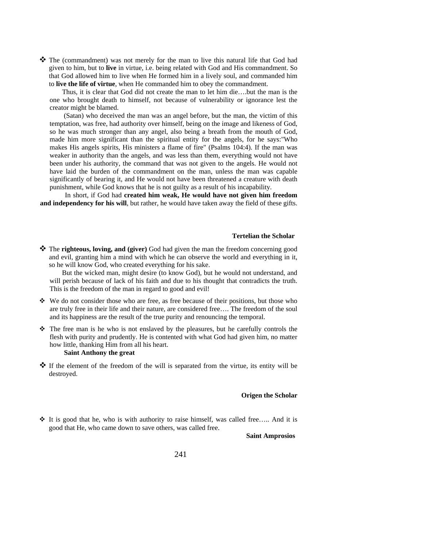$\clubsuit$  The (commandment) was not merely for the man to live this natural life that God had given to him, but to **live** in virtue, i.e. being related with God and His commandment. So that God allowed him to live when He formed him in a lively soul, and commanded him to **live the life of virtue**, when He commanded him to obey the commandment.

Thus, it is clear that God did not create the man to let him die….but the man is the one who brought death to himself, not because of vulnerability or ignorance lest the creator might be blamed.

 (Satan) who deceived the man was an angel before, but the man, the victim of this temptation, was free, had authority over himself, being on the image and likeness of God, so he was much stronger than any angel, also being a breath from the mouth of God, made him more significant than the spiritual entity for the angels, for he says:"Who makes His angels spirits, His ministers a flame of fire" (Psalms 104:4). If the man was weaker in authority than the angels, and was less than them, everything would not have been under his authority, the command that was not given to the angels. He would not have laid the burden of the commandment on the man, unless the man was capable significantly of bearing it, and He would not have been threatened a creature with death punishment, while God knows that he is not guilty as a result of his incapability.

In short, if God had **created him weak, He would have not given him freedom and independency for his will**, but rather, he would have taken away the field of these gifts.

#### **Tertelian the Scholar**

**<sup>❖</sup>** The **righteous, loving, and (giver)** God had given the man the freedom concerning good and evil, granting him a mind with which he can observe the world and everything in it, so he will know God, who created everything for his sake.

But the wicked man, might desire (to know God), but he would not understand, and will perish because of lack of his faith and due to his thought that contradicts the truth. This is the freedom of the man in regard to good and evil!

- $\div$  We do not consider those who are free, as free because of their positions, but those who are truly free in their life and their nature, are considered free…. The freedom of the soul and its happiness are the result of the true purity and renouncing the temporal.
- $\hat{\mathbf{v}}$  The free man is he who is not enslaved by the pleasures, but he carefully controls the flesh with purity and prudently. He is contented with what God had given him, no matter how little, thanking Him from all his heart. **Saint Anthony the great**
- $\mathbf{\hat{P}}$  If the element of the freedom of the will is separated from the virtue, its entity will be destroyed.

#### **Origen the Scholar**

 $\div$  It is good that he, who is with authority to raise himself, was called free..... And it is good that He, who came down to save others, was called free.

#### **Saint Amprosios**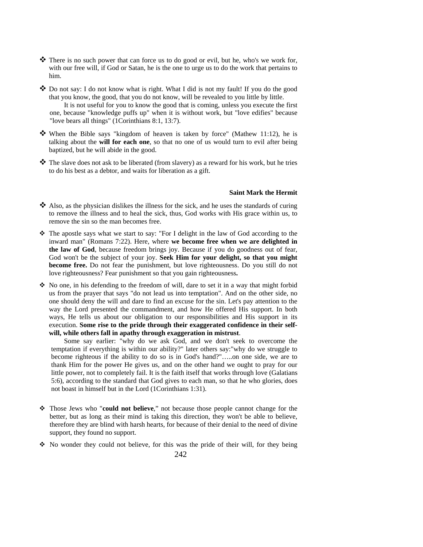- $\clubsuit$  There is no such power that can force us to do good or evil, but he, who's we work for, with our free will, if God or Satan, he is the one to urge us to do the work that pertains to him.
- $\clubsuit$  Do not say: I do not know what is right. What I did is not my fault! If you do the good that you know, the good, that you do not know, will be revealed to you little by little. It is not useful for you to know the good that is coming, unless you execute the first one, because "knowledge puffs up" when it is without work, but "love edifies" because "love bears all things" (1Corinthians 8:1, 13:7).
- When the Bible says "kingdom of heaven is taken by force" (Mathew 11:12), he is talking about the **will for each one**, so that no one of us would turn to evil after being baptized, but he will abide in the good.
- The slave does not ask to be liberated (from slavery) as a reward for his work, but he tries to do his best as a debtor, and waits for liberation as a gift.

#### **Saint Mark the Hermit**

- $\triangleleft$  Also, as the physician dislikes the illness for the sick, and he uses the standards of curing to remove the illness and to heal the sick, thus, God works with His grace within us, to remove the sin so the man becomes free.
- The apostle says what we start to say: "For I delight in the law of God according to the inward man" (Romans 7:22). Here, where **we become free when we are delighted in the law of God**, because freedom brings joy. Because if you do goodness out of fear, God won't be the subject of your joy. **Seek Him for your delight, so that you might become free.** Do not fear the punishment, but love righteousness. Do you still do not love righteousness? Fear punishment so that you gain righteousness**.**
- No one, in his defending to the freedom of will, dare to set it in a way that might forbid us from the prayer that says "do not lead us into temptation". And on the other side, no one should deny the will and dare to find an excuse for the sin. Let's pay attention to the way the Lord presented the commandment, and how He offered His support. In both ways, He tells us about our obligation to our responsibilities and His support in its execution. **Some rise to the pride through their exaggerated confidence in their selfwill, while others fall in apathy through exaggeration in mistrust**.

Some say earlier: "why do we ask God, and we don't seek to overcome the temptation if everything is within our ability?" later others say:"why do we struggle to become righteous if the ability to do so is in God's hand?"…..on one side, we are to thank Him for the power He gives us, and on the other hand we ought to pray for our little power, not to completely fail. It is the faith itself that works through love (Galatians 5:6), according to the standard that God gives to each man, so that he who glories, does not boast in himself but in the Lord (1Corinthians 1:31).

- Those Jews who "**could not believe**," not because those people cannot change for the better, but as long as their mind is taking this direction, they won't be able to believe, therefore they are blind with harsh hearts, for because of their denial to the need of divine support, they found no support.
- No wonder they could not believe, for this was the pride of their will, for they being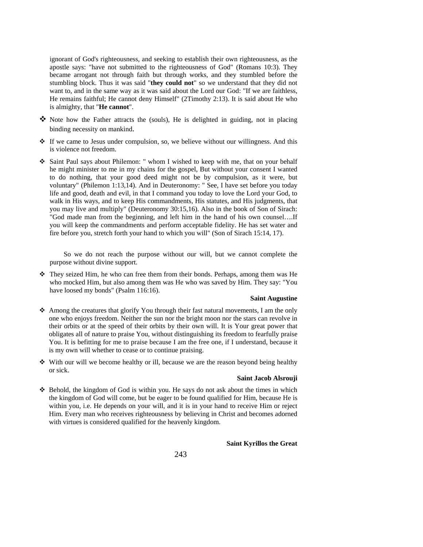ignorant of God's righteousness, and seeking to establish their own righteousness, as the apostle says: "have not submitted to the righteousness of God" (Romans 10:3). They became arrogant not through faith but through works, and they stumbled before the stumbling block. Thus it was said "**they could not**" so we understand that they did not want to, and in the same way as it was said about the Lord our God: "If we are faithless, He remains faithful; He cannot deny Himself" (2Timothy 2:13). It is said about He who is almighty, that "**He cannot**".

- $\clubsuit$  Note how the Father attracts the (souls), He is delighted in guiding, not in placing binding necessity on mankind.
- $\div$  If we came to Jesus under compulsion, so, we believe without our willingness. And this is violence not freedom.
- \* Saint Paul says about Philemon: " whom I wished to keep with me, that on your behalf he might minister to me in my chains for the gospel, But without your consent I wanted to do nothing, that your good deed might not be by compulsion, as it were, but voluntary" (Philemon 1:13,14). And in Deuteronomy: " See, I have set before you today life and good, death and evil, in that I command you today to love the Lord your God, to walk in His ways, and to keep His commandments, His statutes, and His judgments, that you may live and multiply" (Deuteronomy 30:15,16). Also in the book of Son of Sirach: "God made man from the beginning, and left him in the hand of his own counsel….If you will keep the commandments and perform acceptable fidelity. He has set water and fire before you, stretch forth your hand to which you will" (Son of Sirach 15:14, 17).

So we do not reach the purpose without our will, but we cannot complete the purpose without divine support.

 They seized Him, he who can free them from their bonds. Perhaps, among them was He who mocked Him, but also among them was He who was saved by Him. They say: "You have loosed my bonds" (Psalm 116:16).

#### **Saint Augustine**

- $\triangle$  Among the creatures that glorify You through their fast natural movements, I am the only one who enjoys freedom. Neither the sun nor the bright moon nor the stars can revolve in their orbits or at the speed of their orbits by their own will. It is Your great power that obligates all of nature to praise You, without distinguishing its freedom to fearfully praise You. It is befitting for me to praise because I am the free one, if I understand, because it is my own will whether to cease or to continue praising.
- $\cdot$  With our will we become healthy or ill, because we are the reason beyond being healthy or sick.

#### **Saint Jacob Alsrouji**

 $\div$  Behold, the kingdom of God is within you. He says do not ask about the times in which the kingdom of God will come, but be eager to be found qualified for Him, because He is within you, i.e. He depends on your will, and it is in your hand to receive Him or reject Him. Every man who receives righteousness by believing in Christ and becomes adorned with virtues is considered qualified for the heavenly kingdom.

#### **Saint Kyrillos the Great**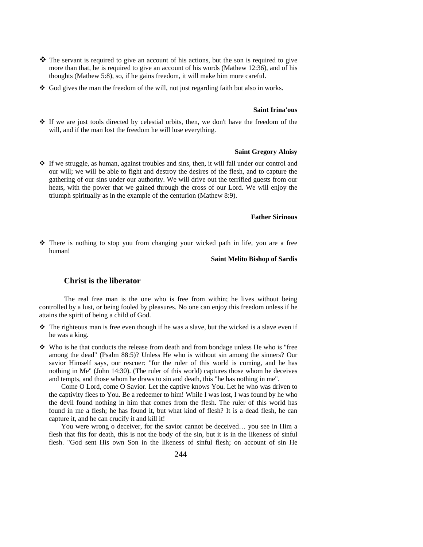- $\clubsuit$  The servant is required to give an account of his actions, but the son is required to give more than that, he is required to give an account of his words (Mathew 12:36), and of his thoughts (Mathew 5:8), so, if he gains freedom, it will make him more careful.
- $\triangleleft$  God gives the man the freedom of the will, not just regarding faith but also in works.

#### **Saint Irina'ous**

 $\div$  If we are just tools directed by celestial orbits, then, we don't have the freedom of the will, and if the man lost the freedom he will lose everything.

#### **Saint Gregory Alnisy**

 $\div$  If we struggle, as human, against troubles and sins, then, it will fall under our control and our will; we will be able to fight and destroy the desires of the flesh, and to capture the gathering of our sins under our authority. We will drive out the terrified guests from our heats, with the power that we gained through the cross of our Lord. We will enjoy the triumph spiritually as in the example of the centurion (Mathew 8:9).

#### **Father Sirinous**

 There is nothing to stop you from changing your wicked path in life, you are a free human!

#### **Saint Melito Bishop of Sardis**

### **Christ is the liberator**

The real free man is the one who is free from within; he lives without being controlled by a lust, or being fooled by pleasures. No one can enjoy this freedom unless if he attains the spirit of being a child of God.

- The righteous man is free even though if he was a slave, but the wicked is a slave even if he was a king.
- $\mathbf{\hat{P}}$  Who is he that conducts the release from death and from bondage unless He who is "free among the dead" (Psalm 88:5)? Unless He who is without sin among the sinners? Our savior Himself says, our rescuer: "for the ruler of this world is coming, and he has nothing in Me" (John 14:30). (The ruler of this world) captures those whom he deceives and tempts, and those whom he draws to sin and death, this "he has nothing in me".

Come O Lord, come O Savior. Let the captive knows You. Let he who was driven to the captivity flees to You. Be a redeemer to him! While I was lost, I was found by he who the devil found nothing in him that comes from the flesh. The ruler of this world has found in me a flesh; he has found it, but what kind of flesh? It is a dead flesh, he can capture it, and he can crucify it and kill it!

You were wrong o deceiver, for the savior cannot be deceived… you see in Him a flesh that fits for death, this is not the body of the sin, but it is in the likeness of sinful flesh. "God sent His own Son in the likeness of sinful flesh; on account of sin He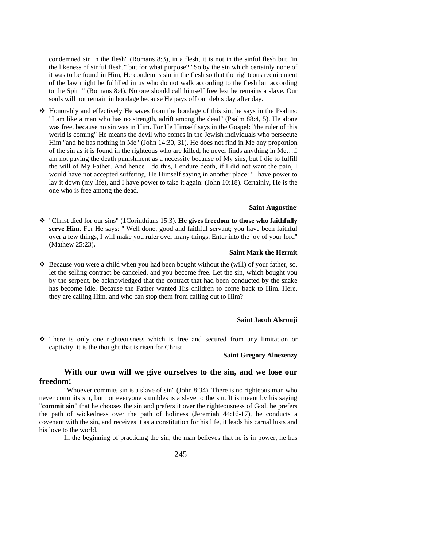condemned sin in the flesh" (Romans 8:3), in a flesh, it is not in the sinful flesh but "in the likeness of sinful flesh," but for what purpose? "So by the sin which certainly none of it was to be found in Him, He condemns sin in the flesh so that the righteous requirement of the law might be fulfilled in us who do not walk according to the flesh but according to the Spirit" (Romans 8:4). No one should call himself free lest he remains a slave. Our souls will not remain in bondage because He pays off our debts day after day.

 $\triangle$  Honorably and effectively He saves from the bondage of this sin, he says in the Psalms: "I am like a man who has no strength, adrift among the dead" (Psalm 88:4, 5). He alone was free, because no sin was in Him. For He Himself says in the Gospel: "the ruler of this world is coming" He means the devil who comes in the Jewish individuals who persecute Him "and he has nothing in Me" (John 14:30, 31). He does not find in Me any proportion of the sin as it is found in the righteous who are killed, he never finds anything in Me….I am not paying the death punishment as a necessity because of My sins, but I die to fulfill the will of My Father. And hence I do this, I endure death, if I did not want the pain, I would have not accepted suffering. He Himself saying in another place: "I have power to lay it down (my life), and I have power to take it again: (John 10:18). Certainly, He is the one who is free among the dead.

#### **Saint Augustine**"

 "Christ died for our sins" (1Corinthians 15:3). **He gives freedom to those who faithfully serve Him.** For He says: " Well done, good and faithful servant; you have been faithful over a few things, I will make you ruler over many things. Enter into the joy of your lord" (Mathew 25:23)**.** 

#### **Saint Mark the Hermit**

 $\triangle$  Because you were a child when you had been bought without the (will) of your father, so, let the selling contract be canceled, and you become free. Let the sin, which bought you by the serpent, be acknowledged that the contract that had been conducted by the snake has become idle. Because the Father wanted His children to come back to Him. Here, they are calling Him, and who can stop them from calling out to Him?

#### **Saint Jacob Alsrouji**

 There is only one righteousness which is free and secured from any limitation or captivity, it is the thought that is risen for Christ

#### **Saint Gregory Alnezenzy**

### **With our own will we give ourselves to the sin, and we lose our freedom!**

"Whoever commits sin is a slave of sin" (John 8:34). There is no righteous man who never commits sin, but not everyone stumbles is a slave to the sin. It is meant by his saying "**commit sin**" that he chooses the sin and prefers it over the righteousness of God, he prefers the path of wickedness over the path of holiness (Jeremiah 44:16-17), he conducts a covenant with the sin, and receives it as a constitution for his life, it leads his carnal lusts and his love to the world.

In the beginning of practicing the sin, the man believes that he is in power, he has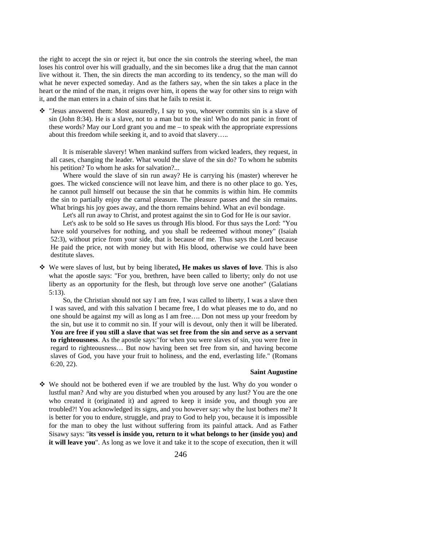the right to accept the sin or reject it, but once the sin controls the steering wheel, the man loses his control over his will gradually, and the sin becomes like a drug that the man cannot live without it. Then, the sin directs the man according to its tendency, so the man will do what he never expected someday. And as the fathers say, when the sin takes a place in the heart or the mind of the man, it reigns over him, it opens the way for other sins to reign with it, and the man enters in a chain of sins that he fails to resist it.

 $\div$  "Jesus answered them: Most assuredly, I say to you, whoever commits sin is a slave of sin (John 8:34). He is a slave, not to a man but to the sin! Who do not panic in front of these words? May our Lord grant you and me  $-$  to speak with the appropriate expressions about this freedom while seeking it, and to avoid that slavery…..

It is miserable slavery! When mankind suffers from wicked leaders, they request, in all cases, changing the leader. What would the slave of the sin do? To whom he submits his petition? To whom he asks for salvation?...

Where would the slave of sin run away? He is carrying his (master) wherever he goes. The wicked conscience will not leave him, and there is no other place to go. Yes, he cannot pull himself out because the sin that he commits is within him. He commits the sin to partially enjoy the carnal pleasure. The pleasure passes and the sin remains. What brings his joy goes away, and the thorn remains behind. What an evil bondage.

Let's all run away to Christ, and protest against the sin to God for He is our savior.

Let's ask to be sold so He saves us through His blood. For thus says the Lord: "You have sold yourselves for nothing, and you shall be redeemed without money" (Isaiah 52:3), without price from your side, that is because of me. Thus says the Lord because He paid the price, not with money but with His blood, otherwise we could have been destitute slaves.

 We were slaves of lust, but by being liberated**, He makes us slaves of love**. This is also what the apostle says: "For you, brethren, have been called to liberty; only do not use liberty as an opportunity for the flesh, but through love serve one another" (Galatians 5:13).

So, the Christian should not say I am free, I was called to liberty, I was a slave then I was saved, and with this salvation I became free, I do what pleases me to do, and no one should be against my will as long as I am free…. Don not mess up your freedom by the sin, but use it to commit no sin. If your will is devout, only then it will be liberated. **You are free if you still a slave that was set free from the sin and serve as a servant to righteousness**. As the apostle says:"for when you were slaves of sin, you were free in regard to righteousness… But now having been set free from sin, and having become slaves of God, you have your fruit to holiness, and the end, everlasting life." (Romans 6:20, 22).

#### **Saint Augustine**

 $\div$  We should not be bothered even if we are troubled by the lust. Why do you wonder o lustful man? And why are you disturbed when you aroused by any lust? You are the one who created it (originated it) and agreed to keep it inside you, and though you are troubled?! You acknowledged its signs, and you however say: why the lust bothers me? It is better for you to endure, struggle, and pray to God to help you, because it is impossible for the man to obey the lust without suffering from its painful attack. And as Father Sisawy says: "**its vessel is inside you, return to it what belongs to her (inside you) and it will leave you**". As long as we love it and take it to the scope of execution, then it will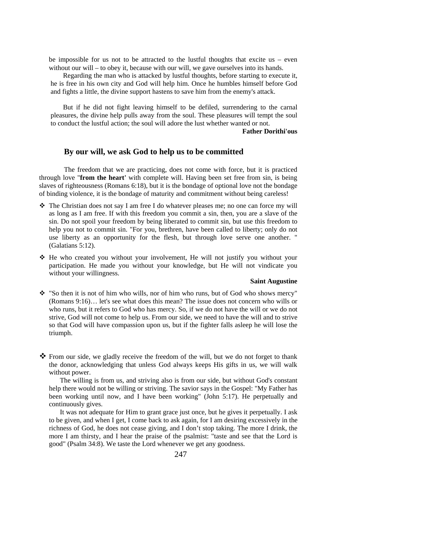be impossible for us not to be attracted to the lustful thoughts that excite us – even without our will – to obey it, because with our will, we gave ourselves into its hands.

Regarding the man who is attacked by lustful thoughts, before starting to execute it, he is free in his own city and God will help him. Once he humbles himself before God and fights a little, the divine support hastens to save him from the enemy's attack.

But if he did not fight leaving himself to be defiled, surrendering to the carnal pleasures, the divine help pulls away from the soul. These pleasures will tempt the soul to conduct the lustful action; the soul will adore the lust whether wanted or not.

**Father Dorithi'ous**

### **By our will, we ask God to help us to be committed**

The freedom that we are practicing, does not come with force, but it is practiced through love "**from the heart'** with complete will. Having been set free from sin, is being slaves of righteousness (Romans 6:18), but it is the bondage of optional love not the bondage of binding violence, it is the bondage of maturity and commitment without being careless!

- The Christian does not say I am free I do whatever pleases me; no one can force my will as long as I am free. If with this freedom you commit a sin, then, you are a slave of the sin. Do not spoil your freedom by being liberated to commit sin, but use this freedom to help you not to commit sin. "For you, brethren, have been called to liberty; only do not use liberty as an opportunity for the flesh, but through love serve one another. " (Galatians 5:12).
- $\div$  He who created you without your involvement, He will not justify you without your participation. He made you without your knowledge, but He will not vindicate you without your willingness.

#### **Saint Augustine**

- $\div$  "So then it is not of him who wills, nor of him who runs, but of God who shows mercy" (Romans 9:16)… let's see what does this mean? The issue does not concern who wills or who runs, but it refers to God who has mercy. So, if we do not have the will or we do not strive, God will not come to help us. From our side, we need to have the will and to strive so that God will have compassion upon us, but if the fighter falls asleep he will lose the triumph.
- From our side, we gladly receive the freedom of the will, but we do not forget to thank the donor, acknowledging that unless God always keeps His gifts in us, we will walk without power.

The willing is from us, and striving also is from our side, but without God's constant help there would not be willing or striving. The savior says in the Gospel: "My Father has been working until now, and I have been working" (John 5:17). He perpetually and continuously gives.

It was not adequate for Him to grant grace just once, but he gives it perpetually. I ask to be given, and when I get, I come back to ask again, for I am desiring excessively in the richness of God, he does not cease giving, and I don't stop taking. The more I drink, the more I am thirsty, and I hear the praise of the psalmist: "taste and see that the Lord is good" (Psalm 34:8). We taste the Lord whenever we get any goodness.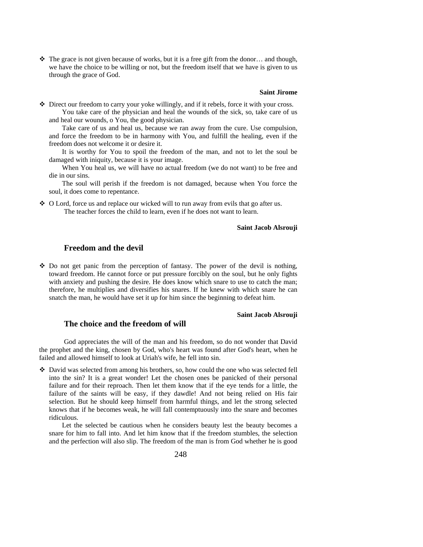$\div$  The grace is not given because of works, but it is a free gift from the donor... and though, we have the choice to be willing or not, but the freedom itself that we have is given to us through the grace of God.

### **Saint Jirome**

 Direct our freedom to carry your yoke willingly, and if it rebels, force it with your cross. You take care of the physician and heal the wounds of the sick, so, take care of us

and heal our wounds, o You, the good physician.

Take care of us and heal us, because we ran away from the cure. Use compulsion, and force the freedom to be in harmony with You, and fulfill the healing, even if the freedom does not welcome it or desire it.

It is worthy for You to spoil the freedom of the man, and not to let the soul be damaged with iniquity, because it is your image.

When You heal us, we will have no actual freedom (we do not want) to be free and die in our sins.

The soul will perish if the freedom is not damaged, because when You force the soul, it does come to repentance.

 O Lord, force us and replace our wicked will to run away from evils that go after us. The teacher forces the child to learn, even if he does not want to learn.

#### **Saint Jacob Alsrouji**

### **Freedom and the devil**

 $\div$  Do not get panic from the perception of fantasy. The power of the devil is nothing, toward freedom. He cannot force or put pressure forcibly on the soul, but he only fights with anxiety and pushing the desire. He does know which snare to use to catch the man; therefore, he multiplies and diversifies his snares. If he knew with which snare he can snatch the man, he would have set it up for him since the beginning to defeat him.

#### **Saint Jacob Alsrouji**

### **The choice and the freedom of will**

God appreciates the will of the man and his freedom, so do not wonder that David the prophet and the king, chosen by God, who's heart was found after God's heart, when he failed and allowed himself to look at Uriah's wife, he fell into sin.

 $\cdot$  David was selected from among his brothers, so, how could the one who was selected fell into the sin? It is a great wonder! Let the chosen ones be panicked of their personal failure and for their reproach. Then let them know that if the eye tends for a little, the failure of the saints will be easy, if they dawdle! And not being relied on His fair selection. But he should keep himself from harmful things, and let the strong selected knows that if he becomes weak, he will fall contemptuously into the snare and becomes ridiculous.

Let the selected be cautious when he considers beauty lest the beauty becomes a snare for him to fall into. And let him know that if the freedom stumbles, the selection and the perfection will also slip. The freedom of the man is from God whether he is good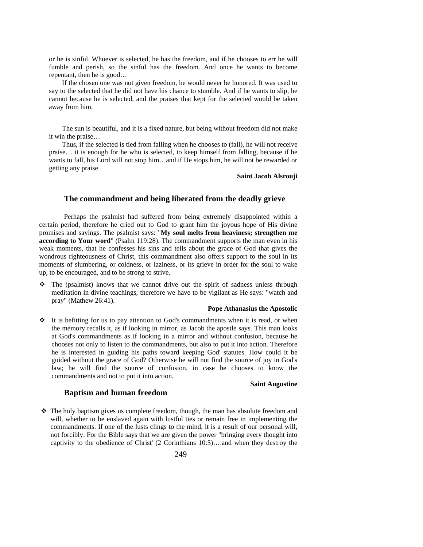or he is sinful. Whoever is selected, he has the freedom, and if he chooses to err he will fumble and perish, so the sinful has the freedom. And once he wants to become repentant, then he is good…

If the chosen one was not given freedom, he would never be honored. It was used to say to the selected that he did not have his chance to stumble. And if he wants to slip, he cannot because he is selected, and the praises that kept for the selected would be taken away from him.

The sun is beautiful, and it is a fixed nature, but being without freedom did not make it win the praise…

Thus, if the selected is tied from falling when he chooses to (fall), he will not receive praise… it is enough for he who is selected, to keep himself from falling, because if he wants to fall, his Lord will not stop him…and if He stops him, he will not be rewarded or getting any praise

#### **Saint Jacob Alsrouji**

### **The commandment and being liberated from the deadly grieve**

Perhaps the psalmist had suffered from being extremely disappointed within a certain period, therefore he cried out to God to grant him the joyous hope of His divine promises and sayings. The psalmist says: "**My soul melts from heaviness; strengthen me according to Your word**" (Psalm 119:28). The commandment supports the man even in his weak moments, that he confesses his sins and tells about the grace of God that gives the wondrous righteousness of Christ, this commandment also offers support to the soul in its moments of slumbering, or coldness, or laziness, or its grieve in order for the soul to wake up, to be encouraged, and to be strong to strive.

 $\div$  The (psalmist) knows that we cannot drive out the spirit of sadness unless through meditation in divine teachings, therefore we have to be vigilant as He says: "watch and pray" (Mathew 26:41).

#### **Pope Athanasius the Apostolic**

 $\div$  It is befitting for us to pay attention to God's commandments when it is read, or when the memory recalls it, as if looking in mirror, as Jacob the apostle says. This man looks at God's commandments as if looking in a mirror and without confusion, because he chooses not only to listen to the commandments, but also to put it into action. Therefore he is interested in guiding his paths toward keeping God' statutes. How could it be guided without the grace of God? Otherwise he will not find the source of joy in God's law; he will find the source of confusion, in case he chooses to know the commandments and not to put it into action.

#### **Saint Augustine**

#### **Baptism and human freedom**

 $\div$  The holy baptism gives us complete freedom, though, the man has absolute freedom and will, whether to be enslaved again with lustful ties or remain free in implementing the commandments. If one of the lusts clings to the mind, it is a result of our personal will, not forcibly. For the Bible says that we are given the power "bringing every thought into captivity to the obedience of Christ' (2 Corinthians 10:5)….and when they destroy the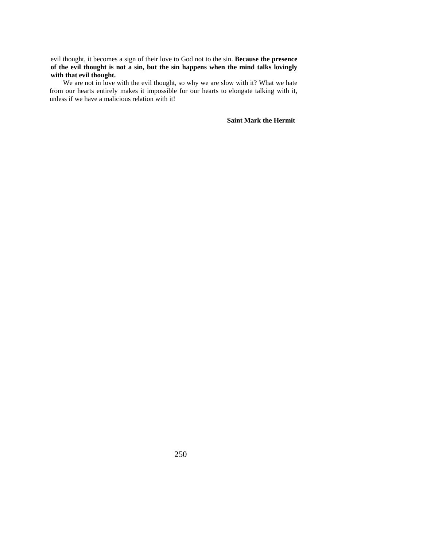evil thought, it becomes a sign of their love to God not to the sin. **Because the presence of the evil thought is not a sin, but the sin happens when the mind talks lovingly with that evil thought.** 

We are not in love with the evil thought, so why we are slow with it? What we hate from our hearts entirely makes it impossible for our hearts to elongate talking with it, unless if we have a malicious relation with it!

**Saint Mark the Hermit**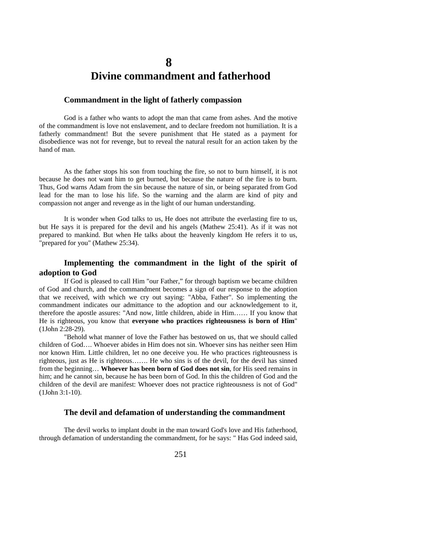## **8 Divine commandment and fatherhood**

### **Commandment in the light of fatherly compassion**

God is a father who wants to adopt the man that came from ashes. And the motive of the commandment is love not enslavement, and to declare freedom not humiliation. It is a fatherly commandment! But the severe punishment that He stated as a payment for disobedience was not for revenge, but to reveal the natural result for an action taken by the hand of man.

As the father stops his son from touching the fire, so not to burn himself, it is not because he does not want him to get burned, but because the nature of the fire is to burn. Thus, God warns Adam from the sin because the nature of sin, or being separated from God lead for the man to lose his life. So the warning and the alarm are kind of pity and compassion not anger and revenge as in the light of our human understanding.

It is wonder when God talks to us, He does not attribute the everlasting fire to us, but He says it is prepared for the devil and his angels (Mathew 25:41). As if it was not prepared to mankind. But when He talks about the heavenly kingdom He refers it to us, "prepared for you" (Mathew 25:34).

### **Implementing the commandment in the light of the spirit of adoption to God**

If God is pleased to call Him "our Father," for through baptism we became children of God and church, and the commandment becomes a sign of our response to the adoption that we received, with which we cry out saying: "Abba, Father". So implementing the commandment indicates our admittance to the adoption and our acknowledgement to it, therefore the apostle assures: "And now, little children, abide in Him…… If you know that He is righteous, you know that **everyone who practices righteousness is born of Him**" (1John 2:28-29).

"Behold what manner of love the Father has bestowed on us, that we should called children of God…. Whoever abides in Him does not sin. Whoever sins has neither seen Him nor known Him. Little children, let no one deceive you. He who practices righteousness is righteous, just as He is righteous……. He who sins is of the devil, for the devil has sinned from the beginning… **Whoever has been born of God does not sin**, for His seed remains in him; and he cannot sin, because he has been born of God. In this the children of God and the children of the devil are manifest: Whoever does not practice righteousness is not of God" (1John 3:1-10).

#### **The devil and defamation of understanding the commandment**

The devil works to implant doubt in the man toward God's love and His fatherhood, through defamation of understanding the commandment, for he says: " Has God indeed said,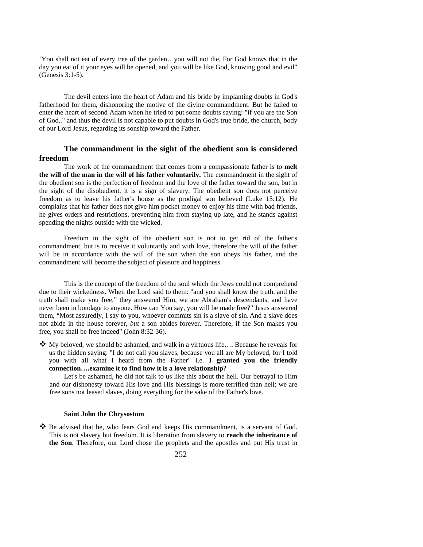'You shall not eat of every tree of the garden…you will not die, For God knows that in the day you eat of it your eyes will be opened, and you will be like God, knowing good and evil" (Genesis 3:1-5).

The devil enters into the heart of Adam and his bride by implanting doubts in God's fatherhood for them, dishonoring the motive of the divine commandment. But he failed to enter the heart of second Adam when he tried to put some doubts saying: "if you are the Son of God.." and thus the devil is not capable to put doubts in God's true bride, the church, body of our Lord Jesus, regarding its sonship toward the Father.

### **The commandment in the sight of the obedient son is considered freedom**

The work of the commandment that comes from a compassionate father is to **melt the will of the man in the will of his father voluntarily.** The commandment in the sight of the obedient son is the perfection of freedom and the love of the father toward the son, but in the sight of the disobedient, it is a sign of slavery. The obedient son does not perceive freedom as to leave his father's house as the prodigal son believed (Luke 15:12). He complains that his father does not give him pocket money to enjoy his time with bad friends, he gives orders and restrictions, preventing him from staying up late, and he stands against spending the nights outside with the wicked.

Freedom in the sight of the obedient son is not to get rid of the father's commandment, but is to receive it voluntarily and with love, therefore the will of the father will be in accordance with the will of the son when the son obeys his father, and the commandment will become the subject of pleasure and happiness.

This is the concept of the freedom of the soul which the Jews could not comprehend due to their wickedness. When the Lord said to them: "and you shall know the truth, and the truth shall make you free," they answered Him, we are Abraham's descendants, and have never been in bondage to anyone. How can You say, you will be made free?" Jesus answered them, "Most assuredly, I say to you, whoever commits sin is a slave of sin. And a slave does not abide in the house forever, *but* a son abides forever. Therefore, if the Son makes you free, you shall be free indeed" (John 8:32-36).

 $\clubsuit$  My beloved, we should be ashamed, and walk in a virtuous life.... Because he reveals for us the hidden saying: "I do not call you slaves, because you all are My beloved, for I told you with all what I heard from the Father" i.e. **I granted you the friendly connection….examine it to find how it is a love relationship?**

Let's be ashamed, he did not talk to us like this about the hell. Our betrayal to Him and our dishonesty toward His love and His blessings is more terrified than hell; we are free sons not leased slaves, doing everything for the sake of the Father's love.

### **Saint John the Chrysostom**

 $\clubsuit$  Be advised that he, who fears God and keeps His commandment, is a servant of God. This is not slavery but freedom. It is liberation from slavery to **reach the inheritance of the Son**. Therefore, our Lord chose the prophets and the apostles and put His trust in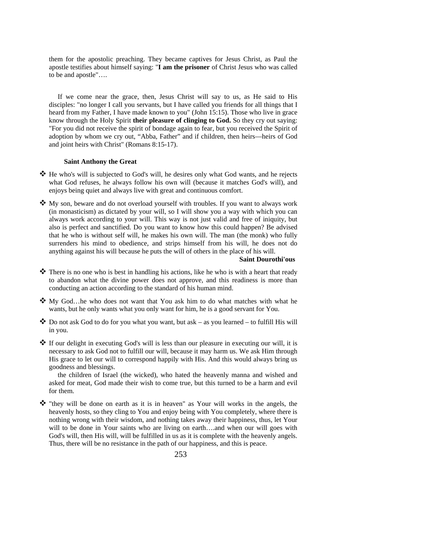them for the apostolic preaching. They became captives for Jesus Christ, as Paul the apostle testifies about himself saying: "**I am the prisoner** of Christ Jesus who was called to be and apostle"….

If we come near the grace, then, Jesus Christ will say to us, as He said to His disciples: "no longer I call you servants, but I have called you friends for all things that I heard from my Father, I have made known to you" (John 15:15). Those who live in grace know through the Holy Spirit **their pleasure of clinging to God.** So they cry out saying: "For you did not receive the spirit of bondage again to fear, but you received the Spirit of adoption by whom we cry out, "Abba, Father" and if children, then heirs—heirs of God and joint heirs with Christ" (Romans 8:15-17).

### **Saint Anthony the Great**

- He who's will is subjected to God's will, he desires only what God wants, and he rejects what God refuses, he always follow his own will (because it matches God's will), and enjoys being quiet and always live with great and continuous comfort.
- My son, beware and do not overload yourself with troubles. If you want to always work (in monasticism) as dictated by your will, so I will show you a way with which you can always work according to your will. This way is not just valid and free of iniquity, but also is perfect and sanctified. Do you want to know how this could happen? Be advised that he who is without self will, he makes his own will. The man (the monk) who fully surrenders his mind to obedience, and strips himself from his will, he does not do anything against his will because he puts the will of others in the place of his will.

### **Saint Dourothi'ous**

- There is no one who is best in handling his actions, like he who is with a heart that ready to abandon what the divine power does not approve, and this readiness is more than conducting an action according to the standard of his human mind.
- My God…he who does not want that You ask him to do what matches with what he wants, but he only wants what you only want for him, he is a good servant for You.
- $\clubsuit$  Do not ask God to do for you what you want, but ask as you learned to fulfill His will in you.
- If our delight in executing God's will is less than our pleasure in executing our will, it is necessary to ask God not to fulfill our will, because it may harm us. We ask Him through His grace to let our will to correspond happily with His. And this would always bring us goodness and blessings.

the children of Israel (the wicked), who hated the heavenly manna and wished and asked for meat, God made their wish to come true, but this turned to be a harm and evil for them.

 $\hat{\mathbf{\cdot}}$  "they will be done on earth as it is in heaven" as Your will works in the angels, the heavenly hosts, so they cling to You and enjoy being with You completely, where there is nothing wrong with their wisdom, and nothing takes away their happiness, thus, let Your will to be done in Your saints who are living on earth....and when our will goes with God's will, then His will, will be fulfilled in us as it is complete with the heavenly angels. Thus, there will be no resistance in the path of our happiness, and this is peace.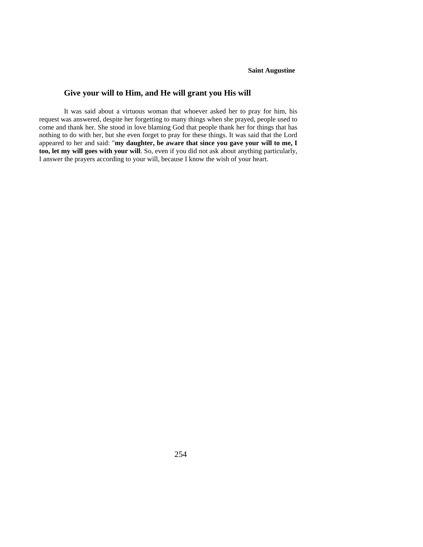#### **Saint Augustine**

### **Give your will to Him, and He will grant you His will**

It was said about a virtuous woman that whoever asked her to pray for him, his request was answered, despite her forgetting to many things when she prayed, people used to come and thank her. She stood in love blaming God that people thank her for things that has nothing to do with her, but she even forget to pray for these things. It was said that the Lord appeared to her and said: "**my daughter, be aware that since you gave your will to me, I too, let my will goes with your will**. So, even if you did not ask about anything particularly, I answer the prayers according to your will, because I know the wish of your heart.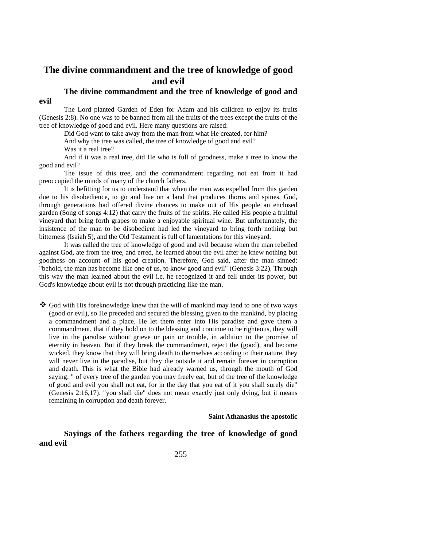## **The divine commandment and the tree of knowledge of good and evil**

# **The divine commandment and the tree of knowledge of good and**

The Lord planted Garden of Eden for Adam and his children to enjoy its fruits (Genesis 2:8). No one was to be banned from all the fruits of the trees except the fruits of the tree of knowledge of good and evil. Here many questions are raised:

Did God want to take away from the man from what He created, for him?

And why the tree was called, the tree of knowledge of good and evil?

Was it a real tree?

**evil** 

And if it was a real tree, did He who is full of goodness, make a tree to know the good and evil?

The issue of this tree, and the commandment regarding not eat from it had preoccupied the minds of many of the church fathers.

It is befitting for us to understand that when the man was expelled from this garden due to his disobedience, to go and live on a land that produces thorns and spines, God, through generations had offered divine chances to make out of His people an enclosed garden (Song of songs 4:12) that carry the fruits of the spirits. He called His people a fruitful vineyard that bring forth grapes to make a enjoyable spiritual wine. But unfortunately, the insistence of the man to be disobedient had led the vineyard to bring forth nothing but bitterness (Isaiah 5), and the Old Testament is full of lamentations for this vineyard.

It was called the tree of knowledge of good and evil because when the man rebelled against God, ate from the tree, and erred, he learned about the evil after he knew nothing but goodness on account of his good creation. Therefore, God said, after the man sinned: "behold, the man has become like one of us, to know good and evil" (Genesis 3:22). Through this way the man learned about the evil i.e. he recognized it and fell under its power, but God's knowledge about evil is not through practicing like the man.

 God with His foreknowledge knew that the will of mankind may tend to one of two ways (good or evil), so He preceded and secured the blessing given to the mankind, by placing a commandment and a place. He let them enter into His paradise and gave them a commandment, that if they hold on to the blessing and continue to be righteous, they will live in the paradise without grieve or pain or trouble, in addition to the promise of eternity in heaven. But if they break the commandment, reject the (good), and become wicked, they know that they will bring death to themselves according to their nature, they will never live in the paradise, but they die outside it and remain forever in corruption and death. This is what the Bible had already warned us, through the mouth of God saying: " of every tree of the garden you may freely eat, but of the tree of the knowledge of good and evil you shall not eat, for in the day that you eat of it you shall surely die" (Genesis 2:16,17). "you shall die" does not mean exactly just only dying, but it means remaining in corruption and death forever.

#### **Saint Athanasius the apostolic**

**Sayings of the fathers regarding the tree of knowledge of good and evil**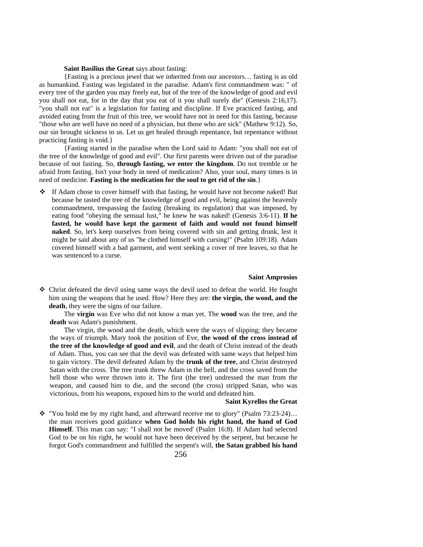#### **Saint Basilius the Great** says about fasting:

{Fasting is a precious jewel that we inherited from our ancestors… fasting is as old as humankind. Fasting was legislated in the paradise. Adam's first commandment was: " of every tree of the garden you may freely eat, but of the tree of the knowledge of good and evil you shall not eat, for in the day that you eat of it you shall surely die" (Genesis 2:16,17). "you shall not eat" is a legislation for fasting and discipline. If Eve practiced fasting, and avoided eating from the fruit of this tree, we would have not in need for this fasting, because "those who are well have no need of a physician, but those who are sick" (Mathew 9:12). So, our sin brought sickness to us. Let us get healed through repentance, but repentance without practicing fasting is void.}

{Fasting started in the paradise when the Lord said to Adam: "you shall not eat of the tree of the knowledge of good and evil". Our first parents were driven out of the paradise because of not fasting. So, **through fasting, we enter the kingdom**. Do not tremble or be afraid from fasting. Isn't your body in need of medication? Also, your soul, many times is in need of medicine. **Fasting is the medication for the soul to get rid of the sin**.}

 $\div$  If Adam chose to cover himself with that fasting, he would have not become naked! But because he tasted the tree of the knowledge of good and evil, being against the heavenly commandment, trespassing the fasting (breaking its regulation) that was imposed, by eating food "obeying the sensual lust," he knew he was naked! (Genesis 3:6-11). **If he fasted, he would have kept the garment of faith and would not found himself naked**. So, let's keep ourselves from being covered with sin and getting drunk, lest it might be said about any of us "he clothed himself with cursing!" (Psalm 109:18). Adam covered himself with a bad garment, and went seeking a cover of tree leaves, so that he was sentenced to a curse.

#### **Saint Amprosios**

 Christ defeated the devil using same ways the devil used to defeat the world. He fought him using the weapons that he used. How? Here they are: **the virgin, the wood, and the death**, they were the signs of our failure.

The **virgin** was Eve who did not know a man yet. The **wood** was the tree, and the **death** was Adam's punishment.

The virgin, the wood and the death, which were the ways of slipping; they became the ways of triumph. Mary took the position of Eve, **the wood of the cross instead of the tree of the knowledge of good and evil**, and the death of Christ instead of the death of Adam. Thus, you can see that the devil was defeated with same ways that helped him to gain victory. The devil defeated Adam by the **trunk of the tree**, and Christ destroyed Satan with the cross. The tree trunk threw Adam in the hell, and the cross saved from the hell those who were thrown into it. The first (the tree) undressed the man from the weapon, and caused him to die, and the second (the cross) stripped Satan, who was victorious, from his weapons, exposed him to the world and defeated him.

#### **Saint Kyrellos the Great**

 $\div$  "You hold me by my right hand, and afterward receive me to glory" (Psalm 73:23-24)... the man receives good guidance **when God holds his right hand, the hand of God Himself**. This man can say: "I shall not be moved' (Psalm 16:8). If Adam had selected God to be on his right, he would not have been deceived by the serpent, but because he forgot God's commandment and fulfilled the serpent's will, **the Satan grabbed his hand**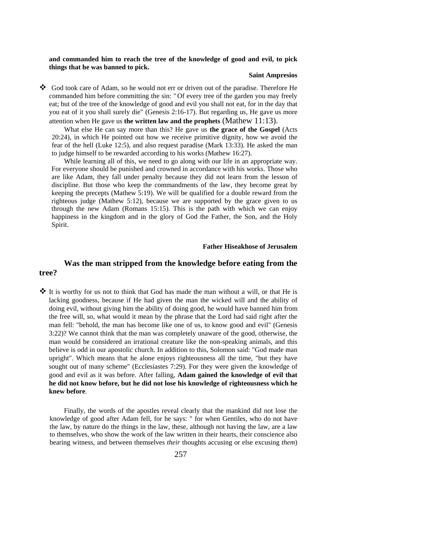#### **and commanded him to reach the tree of the knowledge of good and evil, to pick things that he was banned to pick.**

#### **Saint Ampresios**

 God took care of Adam, so he would not err or driven out of the paradise. Therefore He commanded him before committing the sin: " Of every tree of the garden you may freely eat; but of the tree of the knowledge of good and evil you shall not eat, for in the day that you eat of it you shall surely die" (Genesis 2:16-17). But regarding us, He gave us more attention when He gave us **the written law and the prophets** (Mathew 11:13).

What else He can say more than this? He gave us **the grace of the Gospel** (Acts 20:24), in which He pointed out how we receive primitive dignity, how we avoid the fear of the hell (Luke 12:5), and also request paradise (Mark 13:33). He asked the man to judge himself to be rewarded according to his works (Mathew 16:27).

While learning all of this, we need to go along with our life in an appropriate way. For everyone should be punished and crowned in accordance with his works. Those who are like Adam, they fall under penalty because they did not learn from the lesson of discipline. But those who keep the commandments of the law, they become great by keeping the precepts (Mathew 5:19). We will be qualified for a double reward from the righteous judge (Mathew 5:12), because we are supported by the grace given to us through the new Adam (Romans 15:15). This is the path with which we can enjoy happiness in the kingdom and in the glory of God the Father, the Son, and the Holy Spirit.

#### **Father Hiseakhose of Jerusalem**

### **Was the man stripped from the knowledge before eating from the tree?**

 It is worthy for us not to think that God has made the man without a will, or that He is lacking goodness, because if He had given the man the wicked will and the ability of doing evil, without giving him the ability of doing good, he would have banned him from the free will, so, what would it mean by the phrase that the Lord had said right after the man fell: "behold, the man has become like one of us, to know good and evil" (Genesis 3:22)? We cannot think that the man was completely unaware of the good, otherwise, the man would be considered an irrational creature like the non-speaking animals, and this believe is odd in our apostolic church. In addition to this, Solomon said: "God made man upright". Which means that he alone enjoys righteousness all the time, "but they have sought out of many scheme" (Ecclesiastes 7:29). For they were given the knowledge of good and evil as it was before. After falling, **Adam gained the knowledge of evil that he did not know before, but he did not lose his knowledge of righteousness which he knew before**.

Finally, the words of the apostles reveal clearly that the mankind did not lose the knowledge of good after Adam fell, for he says: " for when Gentiles, who do not have the law, by nature do the things in the law, these, although not having the law, are a law to themselves, who show the work of the law written in their hearts, their conscience also bearing witness, and between themselves *their* thoughts accusing or else excusing *them*)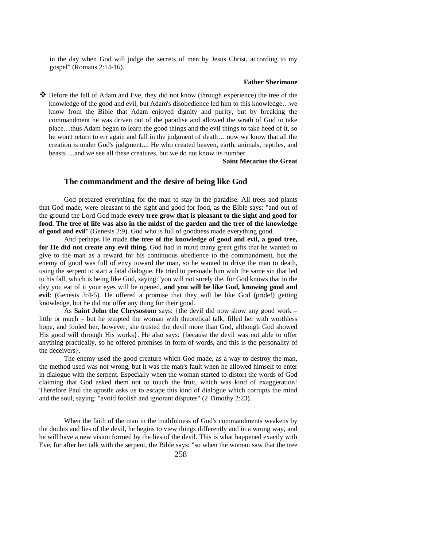in the day when God will judge the secrets of men by Jesus Christ, according to my gospel" (Romans 2:14-16).

#### **Father Sherimone**

 Before the fall of Adam and Eve, they did not know (through experience) the tree of the knowledge of the good and evil, but Adam's disobedience led him to this knowledge…we know from the Bible that Adam enjoyed dignity and purity, but by breaking the commandment he was driven out of the paradise and allowed the wrath of God to take place…thus Adam began to learn the good things and the evil things to take heed of it, so he won't return to err again and fall in the judgment of death… now we know that all the creation is under God's judgment.... He who created heaven, earth, animals, reptiles, and beasts….and we see all these creatures, but we do not know its number.

**Saint Mecarius the Great**

### **The commandment and the desire of being like God**

God prepared everything for the man to stay in the paradise. All trees and plants that God made, were pleasant to the sight and good for food, as the Bible says: "and out of the ground the Lord God made **every tree grow that is pleasant to the sight and good for food. The tree of life was also in the midst of the garden and the tree of the knowledge of good and evil**" (Genesis 2:9). God who is full of goodness made everything good.

And perhaps He made **the tree of the knowledge of good and evil, a good tree, for He did not create any evil thing.** God had in mind many great gifts that he wanted to give to the man as a reward for his continuous obedience to the commandment, but the enemy of good was full of envy toward the man, so he wanted to drive the man to death, using the serpent to start a fatal dialogue. He tried to persuade him with the same sin that led to his fall, which is being like God, saying:"you will not surely die, for God knows that in the day you eat of it your eyes will be opened, **and you will be like God, knowing good and evil**: (Genesis 3:4-5). He offered a promise that they will be like God (pride!) getting knowledge, but he did not offer any thing for their good.

As **Saint John the Chrysostom** says: {the devil did now show any good work – little or much – but he tempted the woman with theoretical talk, filled her with worthless hope, and fooled her, however, she trusted the devil more than God, although God showed His good will through His works}. He also says: {because the devil was not able to offer anything practically, so he offered promises in form of words, and this is the personality of the deceivers}.

The enemy used the good creature which God made, as a way to destroy the man, the method used was not wrong, but it was the man's fault when he allowed himself to enter in dialogue with the serpent. Especially when the woman started to distort the words of God claiming that God asked them not to touch the fruit, which was kind of exaggeration! Therefore Paul the apostle asks us to escape this kind of dialogue which corrupts the mind and the soul, saying: "avoid foolish and ignorant disputes" (2 Timothy 2:23).

When the faith of the man in the truthfulness of God's commandments weakens by the doubts and lies of the devil, he begins to view things differently and in a wrong way, and he will have a new vision formed by the lies of the devil. This is what happened exactly with Eve, for after her talk with the serpent, the Bible says: "so when the woman saw that the tree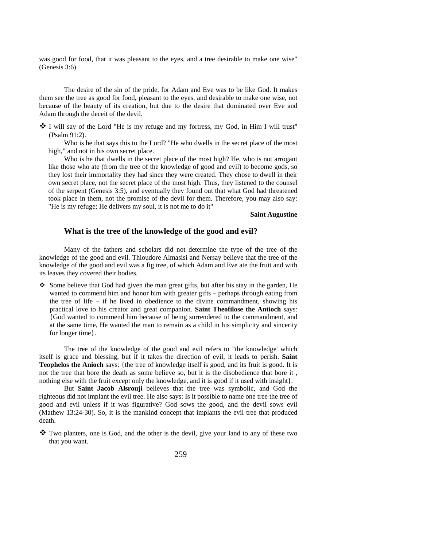was good for food, that it was pleasant to the eyes, and a tree desirable to make one wise" (Genesis 3:6).

The desire of the sin of the pride, for Adam and Eve was to be like God. It makes them see the tree as good for food, pleasant to the eyes, and desirable to make one wise, not because of the beauty of its creation, but due to the desire that dominated over Eve and Adam through the deceit of the devil.

 $\clubsuit$  I will say of the Lord "He is my refuge and my fortress, my God, in Him I will trust" (Psalm 91:2).

Who is he that says this to the Lord? "He who dwells in the secret place of the most high," and not in his own secret place.

Who is he that dwells in the secret place of the most high? He, who is not arrogant like those who ate (from the tree of the knowledge of good and evil) to become gods, so they lost their immortality they had since they were created. They chose to dwell in their own secret place, not the secret place of the most high. Thus, they listened to the counsel of the serpent (Genesis 3:5), and eventually they found out that what God had threatened took place in them, not the promise of the devil for them. Therefore, you may also say: "He is my refuge; He delivers my soul, it is not me to do it"

**Saint Augustine** 

### **What is the tree of the knowledge of the good and evil?**

Many of the fathers and scholars did not determine the type of the tree of the knowledge of the good and evil. Thioudore Almasisi and Nersay believe that the tree of the knowledge of the good and evil was a fig tree, of which Adam and Eve ate the fruit and with its leaves they covered their bodies.

 Some believe that God had given the man great gifts, but after his stay in the garden, He wanted to commend him and honor him with greater gifts – perhaps through eating from the tree of life – if he lived in obedience to the divine commandment, showing his practical love to his creator and great companion. **Saint Theofilose the Antioch** says: {God wanted to commend him because of being surrendered to the commandment, and at the same time, He wanted the man to remain as a child in his simplicity and sincerity for longer time}.

The tree of the knowledge of the good and evil refers to "the knowledge' which itself is grace and blessing, but if it takes the direction of evil, it leads to perish. **Saint Teophelos the Anioch** says: {the tree of knowledge itself is good, and its fruit is good. It is not the tree that bore the death as some believe so, but it is the disobedience that bore it , nothing else with the fruit except only the knowledge, and it is good if it used with insight}.

But **Saint Jacob Alsrouji** believes that the tree was symbolic, and God the righteous did not implant the evil tree. He also says: Is it possible to name one tree the tree of good and evil unless if it was figurative? God sows the good, and the devil sows evil (Mathew 13:24-30). So, it is the mankind concept that implants the evil tree that produced death.

 Two planters, one is God, and the other is the devil, give your land to any of these two that you want.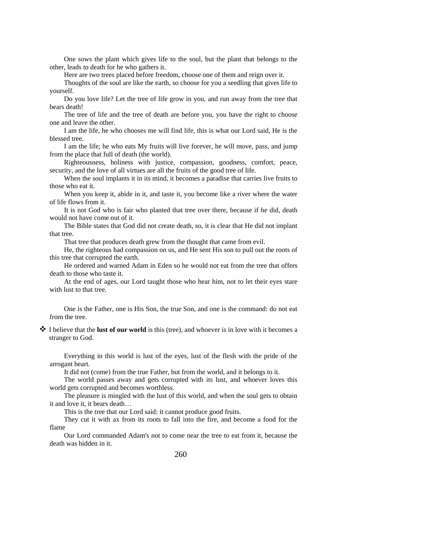One sows the plant which gives life to the soul, but the plant that belongs to the other, leads to death for he who gathers it.

Here are two trees placed before freedom, choose one of them and reign over it.

Thoughts of the soul are like the earth, so choose for you a seedling that gives life to yourself.

Do you love life? Let the tree of life grow in you, and run away from the tree that bears death!

The tree of life and the tree of death are before you, you have the right to choose one and leave the other.

I am the life, he who chooses me will find life, this is what our Lord said, He is the blessed tree.

I am the life; he who eats My fruits will live forever, he will move, pass, and jump from the place that full of death (the world).

Righteousness, holiness with justice, compassion, goodness, comfort, peace, security, and the love of all virtues are all the fruits of the good tree of life.

When the soul implants it in its mind, it becomes a paradise that carries live fruits to those who eat it.

When you keep it, abide in it, and taste it, you become like a river where the water of life flows from it.

It is not God who is fair who planted that tree over there, because if he did, death would not have come out of it.

The Bible states that God did not create death, so, it is clear that He did not implant that tree.

That tree that produces death grew from the thought that came from evil.

He, the righteous had compassion on us, and He sent His son to pull out the roots of this tree that corrupted the earth.

He ordered and warned Adam in Eden so he would not eat from the tree that offers death to those who taste it.

At the end of ages, our Lord taught those who hear him, not to let their eyes stare with lust to that tree.

One is the Father, one is His Son, the true Son, and one is the command: do not eat from the tree.

 I believe that the **lust of our world** is this (tree), and whoever is in love with it becomes a stranger to God.

Everything in this world is lust of the eyes, lust of the flesh with the pride of the arrogant heart.

It did not (come) from the true Father, but from the world, and it belongs to it.

The world passes away and gets corrupted with its lust, and whoever loves this world gets corrupted and becomes worthless.

The pleasure is mingled with the lust of this world, and when the soul gets to obtain it and love it, it bears death…

This is the tree that our Lord said: it cannot produce good fruits.

They cut it with ax from its roots to fall into the fire, and become a food for the flame

Our Lord commanded Adam's not to come near the tree to eat from it, because the death was hidden in it.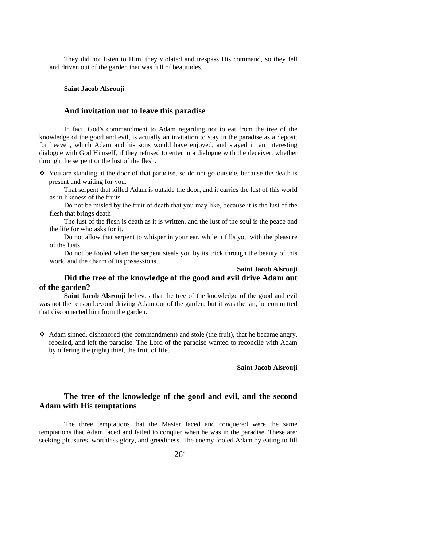They did not listen to Him, they violated and trespass His command, so they fell and driven out of the garden that was full of beatitudes.

#### **Saint Jacob Alsrouji**

#### **And invitation not to leave this paradise**

In fact, God's commandment to Adam regarding not to eat from the tree of the knowledge of the good and evil, is actually an invitation to stay in the paradise as a deposit for heaven, which Adam and his sons would have enjoyed, and stayed in an interesting dialogue with God Himself, if they refused to enter in a dialogue with the deceiver, whether through the serpent or the lust of the flesh.

 $\div$  You are standing at the door of that paradise, so do not go outside, because the death is present and waiting for you.

That serpent that killed Adam is outside the door, and it carries the lust of this world as in likeness of the fruits.

Do not be misled by the fruit of death that you may like, because it is the lust of the flesh that brings death

The lust of the flesh is death as it is written, and the lust of the soul is the peace and the life for who asks for it.

Do not allow that serpent to whisper in your ear, while it fills you with the pleasure of the lusts

Do not be fooled when the serpent steals you by its trick through the beauty of this world and the charm of its possessions.

### **Saint Jacob Alsrouji**

### **Did the tree of the knowledge of the good and evil drive Adam out of the garden?**

**Saint Jacob Alsrouji** believes that the tree of the knowledge of the good and evil was not the reason beyond driving Adam out of the garden, but it was the sin, he committed that disconnected him from the garden.

 Adam sinned, dishonored (the commandment) and stole (the fruit), that he became angry, rebelled, and left the paradise. The Lord of the paradise wanted to reconcile with Adam by offering the (right) thief, the fruit of life.

#### **Saint Jacob Alsrouji**

### **The tree of the knowledge of the good and evil, and the second Adam with His temptations**

The three temptations that the Master faced and conquered were the same temptations that Adam faced and failed to conquer when he was in the paradise. These are: seeking pleasures, worthless glory, and greediness. The enemy fooled Adam by eating to fill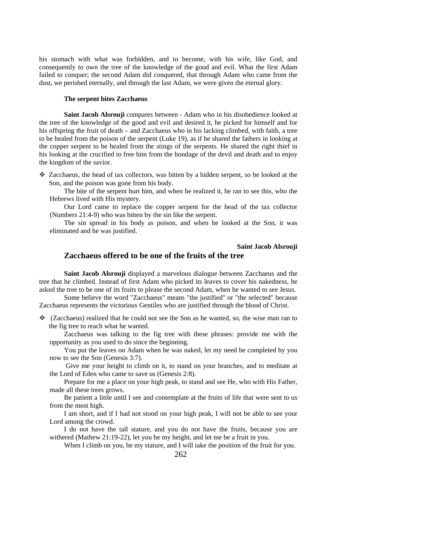his stomach with what was forbidden, and to become, with his wife, like God, and consequently to own the tree of the knowledge of the good and evil. What the first Adam failed to conquer; the second Adam did conquered, that through Adam who came from the dust, we perished eternally, and through the last Adam, we were given the eternal glory.

### **The serpent bites Zacchaeus**

**Saint Jacob Alsrouji** compares between - Adam who in his disobedience looked at the tree of the knowledge of the good and evil and desired it, he picked for himself and for his offspring the fruit of death – and Zacchaeus who in his lacking climbed, with faith, a tree to be healed from the poison of the serpent (Luke 19), as if he shared the fathers in looking at the copper serpent to be healed from the stings of the serpents. He shared the right thief in his looking at the crucified to free him from the bondage of the devil and death and to enjoy the kingdom of the savior.

 Zacchaeus, the head of tax collectors, was bitten by a hidden serpent, so he looked at the Son, and the poison was gone from his body.

The bite of the serpent hurt him, and when he realized it, he ran to see this, who the Hebrews lived with His mystery.

Our Lord came to replace the copper serpent for the head of the tax collector (Numbers 21:4-9) who was bitten by the sin like the serpent.

The sin spread in his body as poison, and when he looked at the Son, it was eliminated and he was justified.

### **Saint Jacob Alsrouji Zacchaeus offered to be one of the fruits of the tree**

**Saint Jacob Alsrouji** displayed a marvelous dialogue between Zacchaeus and the tree that he climbed. Instead of first Adam who picked its leaves to cover his nakedness, he

asked the tree to be one of its fruits to please the second Adam, when he wanted to see Jesus. Some believe the word "Zacchaeus" means "the justified" or "the selected" because

Zacchaeus represents the victorious Gentiles who are justified through the blood of Christ.

 $\div$  (Zacchaeus) realized that he could not see the Son as he wanted, so, the wise man ran to the fig tree to reach what he wanted.

Zacchaeus was talking to the fig tree with these phrases: provide me with the opportunity as you used to do since the beginning.

You put the leaves on Adam when he was naked, let my need be completed by you now to see the Son (Genesis 3:7).

 Give me your height to climb on it, to stand on your branches, and to meditate at the Lord of Eden who came to save us (Genesis 2:8).

Prepare for me a place on your high peak, to stand and see He, who with His Father, made all these trees grows.

Be patient a little until I see and contemplate at the fruits of life that were sent to us from the most high.

I am short, and if I had not stood on your high peak, I will not be able to see your Lord among the crowd.

I do not have the tall stature, and you do not have the fruits, because you are withered (Mathew 21:19-22), let you be my height, and let me be a fruit in you.

When I climb on you, be my stature, and I will take the position of the fruit for you.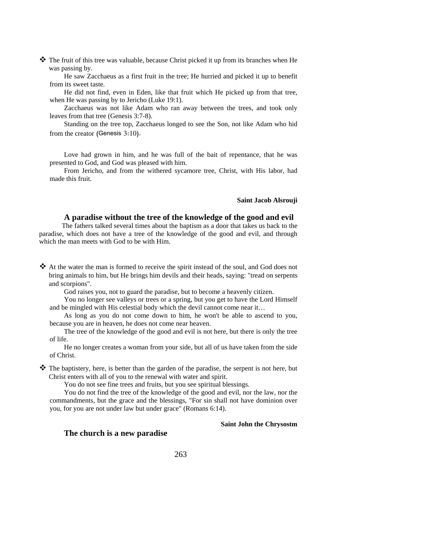$\clubsuit$  The fruit of this tree was valuable, because Christ picked it up from its branches when He was passing by.

He saw Zacchaeus as a first fruit in the tree; He hurried and picked it up to benefit from its sweet taste.

He did not find, even in Eden, like that fruit which He picked up from that tree, when He was passing by to Jericho (Luke 19:1).

Zacchaeus was not like Adam who ran away between the trees, and took only leaves from that tree (Genesis 3:7-8).

Standing on the tree top, Zacchaeus longed to see the Son, not like Adam who hid from the creator (Genesis 3:10).

Love had grown in him, and he was full of the bait of repentance, that he was presented to God, and God was pleased with him.

From Jericho, and from the withered sycamore tree, Christ, with His labor, had made this fruit.

#### **Saint Jacob Alsrouji**

### **A paradise without the tree of the knowledge of the good and evil**

The fathers talked several times about the baptism as a door that takes us back to the paradise, which does not have a tree of the knowledge of the good and evil, and through which the man meets with God to be with Him.

 At the water the man is formed to receive the spirit instead of the soul, and God does not bring animals to him, but He brings him devils and their heads, saying: "tread on serpents and scorpions".

God raises you, not to guard the paradise, but to become a heavenly citizen.

You no longer see valleys or trees or a spring, but you get to have the Lord Himself and be mingled with His celestial body which the devil cannot come near it…

As long as you do not come down to him, he won't be able to ascend to you, because you are in heaven, he does not come near heaven.

The tree of the knowledge of the good and evil is not here, but there is only the tree of life.

He no longer creates a woman from your side, but all of us have taken from the side of Christ.

\* The baptistery, here, is better than the garden of the paradise, the serpent is not here, but Christ enters with all of you to the renewal with water and spirit.

You do not see fine trees and fruits, but you see spiritual blessings. You do not find the tree of the knowledge of the good and evil, nor the law, nor the commandments, but the grace and the blessings, "For sin shall not have dominion over you, for you are not under law but under grace" (Romans 6:14).

#### **Saint John the Chrysostm**

### **The church is a new paradise**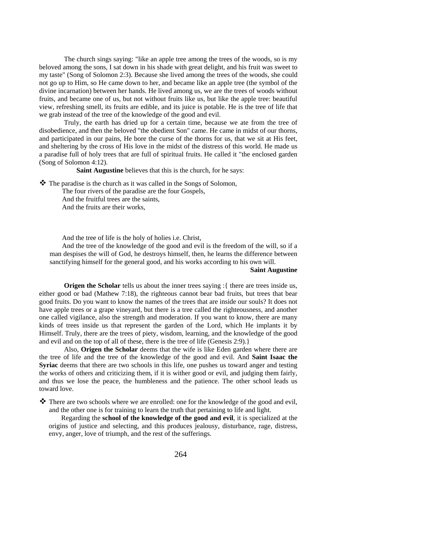The church sings saying: "like an apple tree among the trees of the woods, so is my beloved among the sons, I sat down in his shade with great delight, and his fruit was sweet to my taste" (Song of Solomon 2:3). Because she lived among the trees of the woods, she could not go up to Him, so He came down to her, and became like an apple tree (the symbol of the divine incarnation) between her hands. He lived among us, we are the trees of woods without fruits, and became one of us, but not without fruits like us, but like the apple tree: beautiful view, refreshing smell, its fruits are edible, and its juice is potable. He is the tree of life that we grab instead of the tree of the knowledge of the good and evil.

Truly, the earth has dried up for a certain time, because we ate from the tree of disobedience, and then the beloved "the obedient Son" came. He came in midst of our thorns, and participated in our pains, He bore the curse of the thorns for us, that we sit at His feet, and sheltering by the cross of His love in the midst of the distress of this world. He made us a paradise full of holy trees that are full of spiritual fruits. He called it "the enclosed garden (Song of Solomon 4:12).

**Saint Augustine** believes that this is the church, for he says:

 $\triangle$  The paradise is the church as it was called in the Songs of Solomon,

The four rivers of the paradise are the four Gospels,

And the fruitful trees are the saints,

And the fruits are their works,

And the tree of life is the holy of holies i.e. Christ,

And the tree of the knowledge of the good and evil is the freedom of the will, so if a man despises the will of God, he destroys himself, then, he learns the difference between sanctifying himself for the general good, and his works according to his own will.

#### **Saint Augustine**

**Origen the Scholar** tells us about the inner trees saying :{ there are trees inside us, either good or bad (Mathew 7:18), the righteous cannot bear bad fruits, but trees that bear good fruits. Do you want to know the names of the trees that are inside our souls? It does not have apple trees or a grape vineyard, but there is a tree called the righteousness, and another one called vigilance, also the strength and moderation. If you want to know, there are many kinds of trees inside us that represent the garden of the Lord, which He implants it by Himself. Truly, there are the trees of piety, wisdom, learning, and the knowledge of the good and evil and on the top of all of these, there is the tree of life (Genesis 2:9).}

Also, **Origen the Scholar** deems that the wife is like Eden garden where there are the tree of life and the tree of the knowledge of the good and evil. And **Saint Isaac the Syriac** deems that there are two schools in this life, one pushes us toward anger and testing the works of others and criticizing them, if it is wither good or evil, and judging them fairly, and thus we lose the peace, the humbleness and the patience. The other school leads us toward love.

 $\clubsuit$  There are two schools where we are enrolled: one for the knowledge of the good and evil, and the other one is for training to learn the truth that pertaining to life and light.

Regarding the **school of the knowledge of the good and evil**, it is specialized at the origins of justice and selecting, and this produces jealousy, disturbance, rage, distress, envy, anger, love of triumph, and the rest of the sufferings.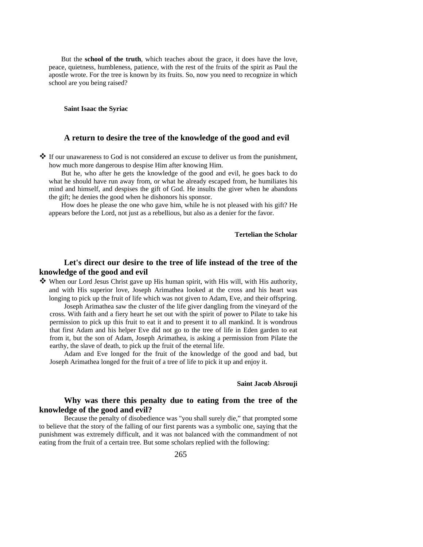But the **school of the truth**, which teaches about the grace, it does have the love, peace, quietness, humbleness, patience, with the rest of the fruits of the spirit as Paul the apostle wrote. For the tree is known by its fruits. So, now you need to recognize in which school are you being raised?

**Saint Isaac the Syriac** 

### **A return to desire the tree of the knowledge of the good and evil**

 $\clubsuit$  If our unawareness to God is not considered an excuse to deliver us from the punishment, how much more dangerous to despise Him after knowing Him.

But he, who after he gets the knowledge of the good and evil, he goes back to do what he should have run away from, or what he already escaped from, he humiliates his mind and himself, and despises the gift of God. He insults the giver when he abandons the gift; he denies the good when he dishonors his sponsor.

How does he please the one who gave him, while he is not pleased with his gift? He appears before the Lord, not just as a rebellious, but also as a denier for the favor.

**Tertelian the Scholar** 

### **Let's direct our desire to the tree of life instead of the tree of the knowledge of the good and evil**

 When our Lord Jesus Christ gave up His human spirit, with His will, with His authority, and with His superior love, Joseph Arimathea looked at the cross and his heart was longing to pick up the fruit of life which was not given to Adam, Eve, and their offspring.

Joseph Arimathea saw the cluster of the life giver dangling from the vineyard of the cross. With faith and a fiery heart he set out with the spirit of power to Pilate to take his permission to pick up this fruit to eat it and to present it to all mankind. It is wondrous that first Adam and his helper Eve did not go to the tree of life in Eden garden to eat from it, but the son of Adam, Joseph Arimathea, is asking a permission from Pilate the earthy, the slave of death, to pick up the fruit of the eternal life.

Adam and Eve longed for the fruit of the knowledge of the good and bad, but Joseph Arimathea longed for the fruit of a tree of life to pick it up and enjoy it.

### **Saint Jacob Alsrouji**

### **Why was there this penalty due to eating from the tree of the knowledge of the good and evil?**

Because the penalty of disobedience was "you shall surely die," that prompted some to believe that the story of the falling of our first parents was a symbolic one, saying that the punishment was extremely difficult, and it was not balanced with the commandment of not eating from the fruit of a certain tree. But some scholars replied with the following: